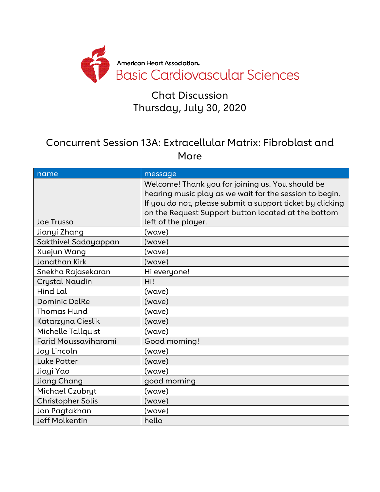

#### Chat Discussion Thursday, July 30, 2020

#### Concurrent Session 13A: Extracellular Matrix: Fibroblast and More

| name                     | message                                                   |
|--------------------------|-----------------------------------------------------------|
|                          | Welcome! Thank you for joining us. You should be          |
|                          | hearing music play as we wait for the session to begin.   |
|                          | If you do not, please submit a support ticket by clicking |
|                          | on the Request Support button located at the bottom       |
| <b>Joe Trusso</b>        | left of the player.                                       |
| Jianyi Zhang             | (wave)                                                    |
| Sakthivel Sadayappan     | (wave)                                                    |
| Xuejun Wang              | (wave)                                                    |
| Jonathan Kirk            | (wave)                                                    |
| Snekha Rajasekaran       | Hi everyone!                                              |
| Crystal Naudin           | Hi!                                                       |
| Hind Lal                 | (wave)                                                    |
| <b>Dominic DelRe</b>     | (wave)                                                    |
| <b>Thomas Hund</b>       | (wave)                                                    |
| Katarzyna Cieslik        | (wave)                                                    |
| Michelle Tallquist       | (wave)                                                    |
| Farid Moussaviharami     | Good morning!                                             |
| Joy Lincoln              | (wave)                                                    |
| <b>Luke Potter</b>       | (wave)                                                    |
| Jiayi Yao                | (wave)                                                    |
| Jiang Chang              | good morning                                              |
| Michael Czubryt          | (wave)                                                    |
| <b>Christopher Solis</b> | (wave)                                                    |
| Jon Pagtakhan            | (wave)                                                    |
| <b>Jeff Molkentin</b>    | hello                                                     |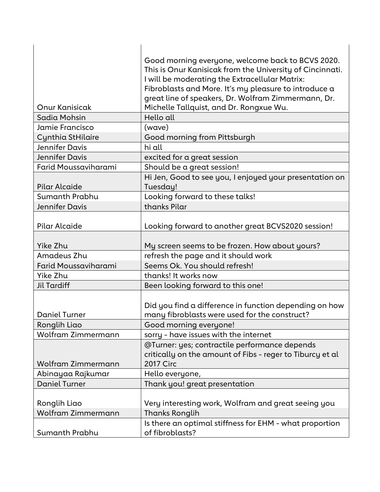|                       | Good morning everyone, welcome back to BCVS 2020.                   |
|-----------------------|---------------------------------------------------------------------|
|                       | This is Onur Kanisicak from the University of Cincinnati.           |
|                       | I will be moderating the Extracellular Matrix:                      |
|                       | Fibroblasts and More. It's my pleasure to introduce a               |
|                       | great line of speakers, Dr. Wolfram Zimmermann, Dr.                 |
| Onur Kanisicak        | Michelle Tallquist, and Dr. Rongxue Wu.                             |
| Sadia Mohsin          | Hello all                                                           |
| Jamie Francisco       | (wave)                                                              |
| Cynthia StHilaire     | Good morning from Pittsburgh                                        |
| Jennifer Davis        | hi all                                                              |
| Jennifer Davis        | excited for a great session                                         |
| Farid Moussaviharami  | Should be a great session!                                          |
| Pilar Alcaide         | Hi Jen, Good to see you, I enjoyed your presentation on<br>Tuesday! |
| Sumanth Prabhu        | Looking forward to these talks!                                     |
| <b>Jennifer Davis</b> | thanks Pilar                                                        |
|                       |                                                                     |
| Pilar Alcaide         | Looking forward to another great BCVS2020 session!                  |
|                       |                                                                     |
| Yike Zhu              | My screen seems to be frozen. How about yours?                      |
| Amadeus Zhu           | refresh the page and it should work                                 |
| Farid Moussaviharami  | Seems Ok. You should refresh!                                       |
| Yike Zhu              | thanks! It works now                                                |
| <b>Jil Tardiff</b>    | Been looking forward to this one!                                   |
|                       |                                                                     |
|                       | Did you find a difference in function depending on how              |
| <b>Daniel Turner</b>  | many fibroblasts were used for the construct?                       |
| Ronglih Liao          | Good morning everyone!                                              |
| Wolfram Zimmermann    | sorry - have issues with the internet                               |
|                       | @Turner: yes; contractile performance depends                       |
|                       | critically on the amount of Fibs - reger to Tiburcy et al           |
| Wolfram Zimmermann    | <b>2017 Circ</b>                                                    |
| Abinayaa Rajkumar     | Hello everyone,                                                     |
| <b>Daniel Turner</b>  | Thank you! great presentation                                       |
| Ronglih Liao          | Very interesting work, Wolfram and great seeing you                 |
| Wolfram Zimmermann    | <b>Thanks Ronglih</b>                                               |
|                       |                                                                     |
|                       | Is there an optimal stiffness for EHM - what proportion             |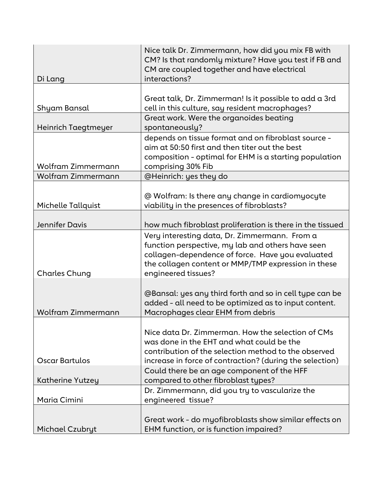|                         | Nice talk Dr. Zimmermann, how did you mix FB with<br>CM? Is that randomly mixture? Have you test if FB and<br>CM are coupled together and have electrical                                                                            |
|-------------------------|--------------------------------------------------------------------------------------------------------------------------------------------------------------------------------------------------------------------------------------|
| Di Lang                 | interactions?                                                                                                                                                                                                                        |
|                         |                                                                                                                                                                                                                                      |
| Shyam Bansal            | Great talk, Dr. Zimmerman! Is it possible to add a 3rd<br>cell in this culture, say resident macrophages?                                                                                                                            |
| Heinrich Taegtmeyer     | Great work. Were the organoides beating<br>spontaneously?                                                                                                                                                                            |
| Wolfram Zimmermann      | depends on tissue format and on fibroblast source -<br>aim at 50:50 first and then titer out the best<br>composition - optimal for EHM is a starting population<br>comprising 30% Fib                                                |
| Wolfram Zimmermann      | @Heinrich: yes they do                                                                                                                                                                                                               |
| Michelle Tallquist      | @ Wolfram: Is there any change in cardiomyocyte<br>viability in the presences of fibroblasts?                                                                                                                                        |
| <b>Jennifer Davis</b>   | how much fibroblast proliferation is there in the tissued                                                                                                                                                                            |
| <b>Charles Chung</b>    | Very interesting data, Dr. Zimmermann. From a<br>function perspective, my lab and others have seen<br>collagen-dependence of force. Have you evaluated<br>the collagen content or MMP/TMP expression in these<br>engineered tissues? |
| Wolfram Zimmermann      | @Bansal: yes any third forth and so in cell type can be<br>added - all need to be optimized as to input content.<br>Macrophages clear EHM from debris                                                                                |
| Oscar Bartulos          | Nice data Dr. Zimmerman. How the selection of CMs<br>was done in the EHT and what could be the<br>contribution of the selection method to the observed<br>increase in force of contraction? (during the selection)                   |
|                         | Could there be an age component of the HFF                                                                                                                                                                                           |
| <b>Katherine Yutzey</b> | compared to other fibroblast types?                                                                                                                                                                                                  |
| Maria Cimini            | Dr. Zimmermann, did you try to vascularize the<br>engineered tissue?                                                                                                                                                                 |
| Michael Czubryt         | Great work - do myofibroblasts show similar effects on<br>EHM function, or is function impaired?                                                                                                                                     |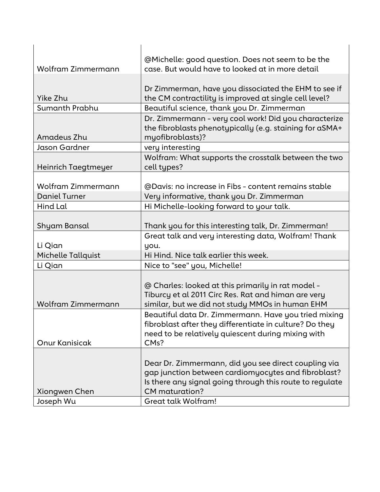|                                            | @Michelle: good question. Does not seem to be the        |
|--------------------------------------------|----------------------------------------------------------|
| Wolfram Zimmermann                         | case. But would have to looked at in more detail         |
|                                            |                                                          |
|                                            | Dr Zimmerman, have you dissociated the EHM to see if     |
| Yike Zhu                                   | the CM contractility is improved at single cell level?   |
| Sumanth Prabhu                             | Beautiful science, thank you Dr. Zimmerman               |
|                                            | Dr. Zimmermann - very cool work! Did you characterize    |
|                                            | the fibroblasts phenotypically (e.g. staining for aSMA+  |
| Amadeus Zhu                                | myofibroblasts)?                                         |
| Jason Gardner                              | very interesting                                         |
|                                            | Wolfram: What supports the crosstalk between the two     |
| Heinrich Taegtmeyer                        | cell types?                                              |
|                                            |                                                          |
| Wolfram Zimmermann<br><b>Daniel Turner</b> | @Davis: no increase in Fibs - content remains stable     |
| Hind Lal                                   | Very informative, thank you Dr. Zimmerman                |
|                                            | Hi Michelle-looking forward to your talk.                |
| Shyam Bansal                               | Thank you for this interesting talk, Dr. Zimmerman!      |
|                                            | Great talk and very interesting data, Wolfram! Thank     |
| Li Qian                                    | you.                                                     |
| Michelle Tallquist                         | Hi Hind. Nice talk earlier this week.                    |
| Li Qian                                    | Nice to "see" you, Michelle!                             |
|                                            |                                                          |
|                                            | @ Charles: looked at this primarily in rat model -       |
|                                            | Tiburcy et al 2011 Circ Res. Rat and himan are very      |
| <b>Wolfram Zimmermann</b>                  | similar, but we did not study MMOs in human EHM          |
|                                            | Beautiful data Dr. Zimmermann. Have you tried mixing     |
|                                            | fibroblast after they differentiate in culture? Do they  |
|                                            | need to be relatively quiescent during mixing with       |
| Onur Kanisicak                             | CM <sub>s</sub> ?                                        |
|                                            |                                                          |
|                                            | Dear Dr. Zimmermann, did you see direct coupling via     |
|                                            | gap junction between cardiomyocytes and fibroblast?      |
|                                            | Is there any signal going through this route to regulate |
| Xiongwen Chen                              | <b>CM</b> maturation?                                    |
| Joseph Wu                                  | Great talk Wolfram!                                      |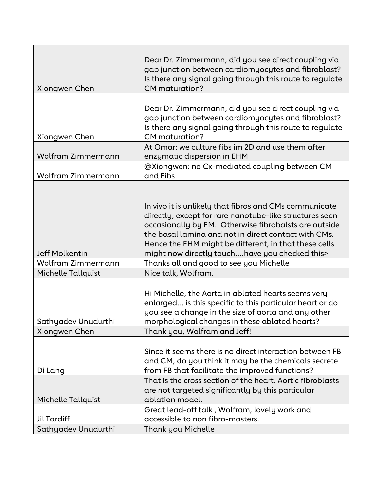|                           | Dear Dr. Zimmermann, did you see direct coupling via       |
|---------------------------|------------------------------------------------------------|
|                           | gap junction between cardiomyocytes and fibroblast?        |
|                           | Is there any signal going through this route to regulate   |
| Xiongwen Chen             | <b>CM</b> maturation?                                      |
|                           |                                                            |
|                           | Dear Dr. Zimmermann, did you see direct coupling via       |
|                           | gap junction between cardiomyocytes and fibroblast?        |
|                           | Is there any signal going through this route to regulate   |
| Xiongwen Chen             | CM maturation?                                             |
|                           | At Omar: we culture fibs im 2D and use them after          |
| <b>Wolfram Zimmermann</b> | enzymatic dispersion in EHM                                |
|                           | @Xiongwen: no Cx-mediated coupling between CM              |
| Wolfram Zimmermann        | and Fibs                                                   |
|                           |                                                            |
|                           |                                                            |
|                           | In vivo it is unlikely that fibros and CMs communicate     |
|                           | directly, except for rare nanotube-like structures seen    |
|                           | occasionally by EM. Otherwise fibrobalsts are outside      |
|                           | the basal lamina and not in direct contact with CMs.       |
|                           |                                                            |
| <b>Jeff Molkentin</b>     | Hence the EHM might be different, in that these cells      |
| Wolfram Zimmermann        | might now directly touchhave you checked this>             |
|                           | Thanks all and good to see you Michelle                    |
| <b>Michelle Tallquist</b> | Nice talk, Wolfram.                                        |
|                           |                                                            |
|                           | Hi Michelle, the Aorta in ablated hearts seems very        |
|                           | enlarged is this specific to this particular heart or do   |
|                           | you see a change in the size of aorta and any other        |
| Sathyadev Unudurthi       | morphological changes in these ablated hearts?             |
| Xiongwen Chen             | Thank you, Wolfram and Jeff!                               |
|                           |                                                            |
|                           | Since it seems there is no direct interaction between FB   |
|                           | and CM, do you think it may be the chemicals secrete       |
| Di Lang                   | from FB that facilitate the improved functions?            |
|                           | That is the cross section of the heart. Aortic fibroblasts |
|                           | are not targeted significantly by this particular          |
| Michelle Tallquist        | ablation model.                                            |
|                           | Great lead-off talk, Wolfram, lovely work and              |
| <b>Jil Tardiff</b>        | accessible to non fibro-masters.                           |
| Sathyadev Unudurthi       | Thank you Michelle                                         |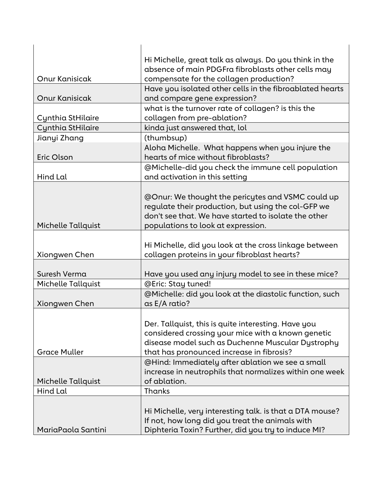|                       | Hi Michelle, great talk as always. Do you think in the                                                                                                                                                      |
|-----------------------|-------------------------------------------------------------------------------------------------------------------------------------------------------------------------------------------------------------|
|                       | absence of main PDGFra fibroblasts other cells may                                                                                                                                                          |
| Onur Kanisicak        | compensate for the collagen production?                                                                                                                                                                     |
|                       | Have you isolated other cells in the fibroablated hearts                                                                                                                                                    |
| <b>Onur Kanisicak</b> | and compare gene expression?                                                                                                                                                                                |
|                       | what is the turnover rate of collagen? is this the                                                                                                                                                          |
| Cynthia StHilaire     | collagen from pre-ablation?                                                                                                                                                                                 |
| Cynthia StHilaire     | kinda just answered that, lol                                                                                                                                                                               |
| Jianyi Zhang          | (thumbsup)                                                                                                                                                                                                  |
| Eric Olson            | Aloha Michelle. What happens when you injure the<br>hearts of mice without fibroblasts?                                                                                                                     |
|                       | @Michelle-did you check the immune cell population                                                                                                                                                          |
| Hind Lal              | and activation in this setting                                                                                                                                                                              |
| Michelle Tallquist    | @Onur: We thought the pericytes and VSMC could up<br>regulate their production, but using the col-GFP we<br>don't see that. We have started to isolate the other<br>populations to look at expression.      |
|                       |                                                                                                                                                                                                             |
| Xiongwen Chen         | Hi Michelle, did you look at the cross linkage between<br>collagen proteins in your fibroblast hearts?                                                                                                      |
|                       |                                                                                                                                                                                                             |
| Suresh Verma          | Have you used any injury model to see in these mice?                                                                                                                                                        |
| Michelle Tallquist    | @Eric: Stay tuned!                                                                                                                                                                                          |
| Xiongwen Chen         | @Michelle: did you look at the diastolic function, such<br>as E/A ratio?                                                                                                                                    |
| <b>Grace Muller</b>   | Der. Tallquist, this is quite interesting. Have you<br>considered crossing your mice with a known genetic<br>disease model such as Duchenne Muscular Dystrophy<br>that has pronounced increase in fibrosis? |
|                       | @Hind: Immediately after ablation we see a small<br>increase in neutrophils that normalizes within one week                                                                                                 |
| Michelle Tallquist    | of ablation.                                                                                                                                                                                                |
| Hind Lal              | Thanks                                                                                                                                                                                                      |
| MariaPaola Santini    | Hi Michelle, very interesting talk. is that a DTA mouse?<br>If not, how long did you treat the animals with<br>Diphteria Toxin? Further, did you try to induce MI?                                          |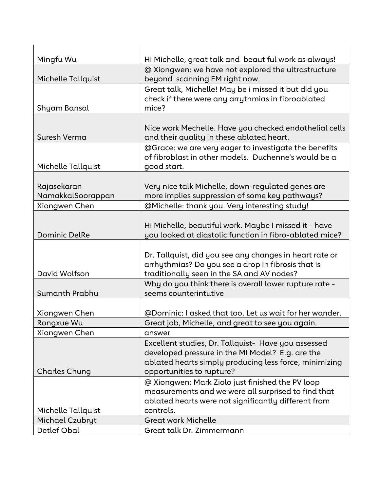| Mingfu Wu            | Hi Michelle, great talk and beautiful work as always!   |
|----------------------|---------------------------------------------------------|
|                      | @ Xiongwen: we have not explored the ultrastructure     |
| Michelle Tallquist   | beyond scanning EM right now.                           |
|                      | Great talk, Michelle! May be i missed it but did you    |
|                      | check if there were any arrythmias in fibroablated      |
| Shyam Bansal         | mice?                                                   |
|                      |                                                         |
|                      | Nice work Mechelle. Have you checked endothelial cells  |
| Suresh Verma         | and their quality in these ablated heart.               |
|                      | @Grace: we are very eager to investigate the benefits   |
|                      | of fibroblast in other models. Duchenne's would be a    |
| Michelle Tallquist   | good start.                                             |
|                      |                                                         |
| Rajasekaran          | Very nice talk Michelle, down-regulated genes are       |
| NamakkalSoorappan    | more implies suppression of some key pathways?          |
| Xiongwen Chen        | @Michelle: thank you. Very interesting study!           |
|                      |                                                         |
| <b>Dominic DelRe</b> | Hi Michelle, beautiful work. Maybe I missed it - have   |
|                      | you looked at diastolic function in fibro-ablated mice? |
|                      | Dr. Tallquist, did you see any changes in heart rate or |
|                      | arrhythmias? Do you see a drop in fibrosis that is      |
| David Wolfson        | traditionally seen in the SA and AV nodes?              |
|                      | Why do you think there is overall lower rupture rate -  |
| Sumanth Prabhu       | seems counterintutive                                   |
|                      |                                                         |
| Xiongwen Chen        | @Dominic: I asked that too. Let us wait for her wander. |
| Rongxue Wu           | Great job, Michelle, and great to see you again.        |
| Xiongwen Chen        | answer                                                  |
|                      | Excellent studies, Dr. Tallquist- Have you assessed     |
|                      | developed pressure in the MI Model? E.g. are the        |
|                      | ablated hearts simply producing less force, minimizing  |
| <b>Charles Chung</b> | opportunities to rupture?                               |
|                      | @ Xiongwen: Mark Ziolo just finished the PV loop        |
|                      | measurements and we were all surprised to find that     |
|                      | ablated hearts were not significantly different from    |
| Michelle Tallquist   | controls.                                               |
| Michael Czubryt      | <b>Great work Michelle</b>                              |
| Detlef Obal          | Great talk Dr. Zimmermann                               |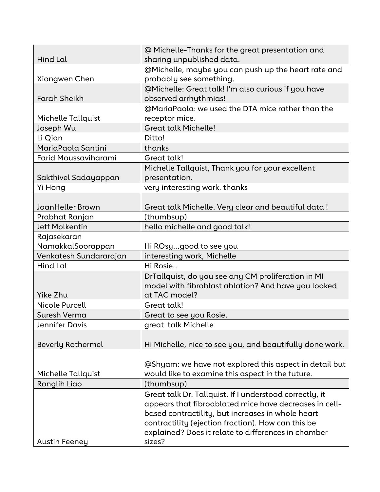|                             | @ Michelle-Thanks for the great presentation and         |
|-----------------------------|----------------------------------------------------------|
| Hind Lal                    | sharing unpublished data.                                |
|                             | @Michelle, maybe you can push up the heart rate and      |
| Xiongwen Chen               | probably see something.                                  |
|                             | @Michelle: Great talk! I'm also curious if you have      |
| <b>Farah Sheikh</b>         | observed arrhythmias!                                    |
|                             | @MariaPaola: we used the DTA mice rather than the        |
| <b>Michelle Tallquist</b>   | receptor mice.                                           |
| Joseph Wu                   | <b>Great talk Michelle!</b>                              |
| Li Qian                     | Ditto!                                                   |
| MariaPaola Santini          | thanks                                                   |
| <b>Farid Moussaviharami</b> | Great talk!                                              |
|                             | Michelle Tallquist, Thank you for your excellent         |
| Sakthivel Sadayappan        | presentation.                                            |
| Yi Hong                     | very interesting work. thanks                            |
|                             |                                                          |
| JoanHeller Brown            | Great talk Michelle. Very clear and beautiful data!      |
| Prabhat Ranjan              | (thumbsup)                                               |
| <b>Jeff Molkentin</b>       | hello michelle and good talk!                            |
| Rajasekaran                 |                                                          |
| NamakkalSoorappan           | Hi ROsygood to see you                                   |
| Venkatesh Sundararajan      | interesting work, Michelle                               |
| Hind Lal                    | Hi Rosie                                                 |
|                             | DrTallquist, do you see any CM proliferation in MI       |
|                             | model with fibroblast ablation? And have you looked      |
| Yike Zhu                    | at TAC model?                                            |
| Nicole Purcell              | Great talk!                                              |
| Suresh Verma                | Great to see you Rosie.                                  |
| Jennifer Davis              | great talk Michelle                                      |
|                             |                                                          |
| <b>Beverly Rothermel</b>    | Hi Michelle, nice to see you, and beautifully done work. |
|                             |                                                          |
|                             | @Shyam: we have not explored this aspect in detail but   |
| Michelle Tallquist          | would like to examine this aspect in the future.         |
| Ronglih Liao                | (thumbsup)                                               |
|                             | Great talk Dr. Tallquist. If I understood correctly, it  |
|                             | appears that fibroablated mice have decreases in cell-   |
|                             | based contractility, but increases in whole heart        |
|                             | contractility (ejection fraction). How can this be       |
|                             |                                                          |
|                             | sizes?                                                   |
| <b>Austin Feeney</b>        | explained? Does it relate to differences in chamber      |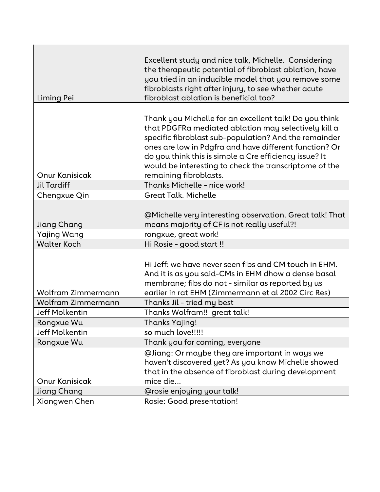|                           | Excellent study and nice talk, Michelle. Considering                                                             |
|---------------------------|------------------------------------------------------------------------------------------------------------------|
|                           | the therapeutic potential of fibroblast ablation, have                                                           |
|                           | you tried in an inducible model that you remove some                                                             |
|                           | fibroblasts right after injury, to see whether acute                                                             |
| Liming Pei                | fibroblast ablation is beneficial too?                                                                           |
|                           | Thank you Michelle for an excellent talk! Do you think                                                           |
|                           | that PDGFRa mediated ablation may selectively kill a                                                             |
|                           | specific fibroblast sub-population? And the remainder                                                            |
|                           | ones are low in Pdgfra and have different function? Or                                                           |
|                           | do you think this is simple a Cre efficiency issue? It<br>would be interesting to check the transcriptome of the |
| <b>Onur Kanisicak</b>     | remaining fibroblasts.                                                                                           |
| <b>Jil Tardiff</b>        | Thanks Michelle - nice work!                                                                                     |
| Chengxue Qin              | <b>Great Talk. Michelle</b>                                                                                      |
|                           |                                                                                                                  |
|                           | @Michelle very interesting observation. Great talk! That                                                         |
| Jiang Chang               | means majority of CF is not really useful?!                                                                      |
| Yajing Wang               | rongxue, great work!                                                                                             |
| <b>Walter Koch</b>        | Hi Rosie - good start !!                                                                                         |
|                           |                                                                                                                  |
|                           | Hi Jeff: we have never seen fibs and CM touch in EHM.<br>And it is as you said-CMs in EHM dhow a dense basal     |
|                           | membrane; fibs do not - similar as reported by us                                                                |
| <b>Wolfram Zimmermann</b> | earlier in rat EHM (Zimmermann et al 2002 Circ Res)                                                              |
| Wolfram Zimmermann        | Thanks Jil - tried my best                                                                                       |
| <b>Jeff Molkentin</b>     | Thanks Wolfram!! great talk!                                                                                     |
| Rongxue Wu                | <b>Thanks Yajing!</b>                                                                                            |
| <b>Jeff Molkentin</b>     | so much love!!!!!                                                                                                |
| Rongxue Wu                | Thank you for coming, everyone                                                                                   |
|                           | @Jiang: Or maybe they are important in ways we                                                                   |
|                           | haven't discovered yet? As you know Michelle showed                                                              |
|                           | that in the absence of fibroblast during development                                                             |
| <b>Onur Kanisicak</b>     | mice die                                                                                                         |
| Jiang Chang               | @rosie enjoying your talk!                                                                                       |
| Xiongwen Chen             | Rosie: Good presentation!                                                                                        |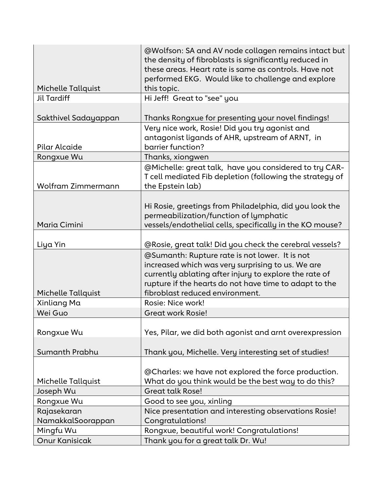|                                  | @Wolfson: SA and AV node collagen remains intact but<br>the density of fibroblasts is significantly reduced in                                                                                                          |
|----------------------------------|-------------------------------------------------------------------------------------------------------------------------------------------------------------------------------------------------------------------------|
|                                  | these areas. Heart rate is same as controls. Have not                                                                                                                                                                   |
|                                  | performed EKG. Would like to challenge and explore                                                                                                                                                                      |
| <b>Michelle Tallquist</b>        | this topic.                                                                                                                                                                                                             |
| <b>Jil Tardiff</b>               | Hi Jeff! Great to "see" you                                                                                                                                                                                             |
| Sakthivel Sadayappan             | Thanks Rongxue for presenting your novel findings!                                                                                                                                                                      |
| Pilar Alcaide                    | Very nice work, Rosie! Did you try agonist and<br>antagonist ligands of AHR, upstream of ARNT, in<br>barrier function?                                                                                                  |
| Rongxue Wu                       | Thanks, xiongwen                                                                                                                                                                                                        |
| Wolfram Zimmermann               | @Michelle: great talk, have you considered to try CAR-<br>T cell mediated Fib depletion (following the strategy of<br>the Epstein lab)                                                                                  |
|                                  | Hi Rosie, greetings from Philadelphia, did you look the                                                                                                                                                                 |
| Maria Cimini                     | permeabilization/function of lymphatic<br>vessels/endothelial cells, specifically in the KO mouse?                                                                                                                      |
| Liya Yin                         | @Rosie, great talk! Did you check the cerebral vessels?                                                                                                                                                                 |
|                                  | @Sumanth: Rupture rate is not lower. It is not<br>increased which was very surprising to us. We are<br>currently ablating after injury to explore the rate of<br>rupture if the hearts do not have time to adapt to the |
| Michelle Tallquist               | fibroblast reduced environment.                                                                                                                                                                                         |
| Xinliang Ma                      | Rosie: Nice work!                                                                                                                                                                                                       |
| Wei Guo                          | <b>Great work Rosie!</b>                                                                                                                                                                                                |
| Rongxue Wu                       | Yes, Pilar, we did both agonist and arnt overexpression                                                                                                                                                                 |
| Sumanth Prabhu                   | Thank you, Michelle. Very interesting set of studies!                                                                                                                                                                   |
|                                  |                                                                                                                                                                                                                         |
|                                  | @Charles: we have not explored the force production.                                                                                                                                                                    |
| Michelle Tallquist               | What do you think would be the best way to do this?<br><b>Great talk Rose!</b>                                                                                                                                          |
| Joseph Wu                        |                                                                                                                                                                                                                         |
| Rongxue Wu                       | Good to see you, xinling                                                                                                                                                                                                |
| Rajasekaran<br>NamakkalSoorappan | Nice presentation and interesting observations Rosie!<br>Congratulations!                                                                                                                                               |
| Mingfu Wu                        | Rongxue, beautiful work! Congratulations!                                                                                                                                                                               |
| <b>Onur Kanisicak</b>            | Thank you for a great talk Dr. Wu!                                                                                                                                                                                      |
|                                  |                                                                                                                                                                                                                         |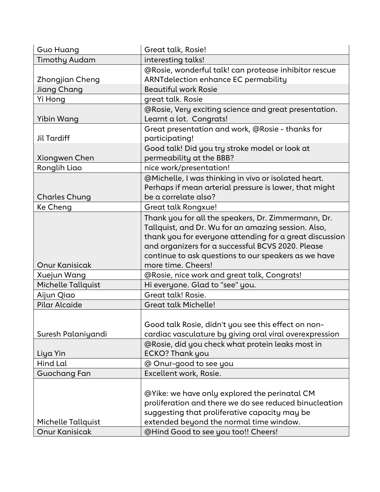| Timothy Audam<br>interesting talks!<br>@Rosie, wonderful talk! can protease inhibitor rescue<br>ARNT delection enhance EC permability<br>Zhongjian Cheng<br><b>Beautiful work Rosie</b><br>Jiang Chang<br>great talk. Rosie<br>Yi Hong<br>@Rosie, Very exciting science and great presentation.<br>Learnt a lot. Congrats!<br>Yibin Wang<br>Great presentation and work, @Rosie - thanks for<br><b>Jil Tardiff</b><br>participating!<br>Good talk! Did you try stroke model or look at<br>permeability at the BBB?<br>Xiongwen Chen<br>Ronglih Liao<br>nice work/presentation!<br>@Michelle, I was thinking in vivo or isolated heart.<br>Perhaps if mean arterial pressure is lower, that might<br>be a correlate also?<br><b>Charles Chung</b><br>Ke Cheng<br>Great talk Rongxue!<br>Thank you for all the speakers, Dr. Zimmermann, Dr.<br>Tallquist, and Dr. Wu for an amazing session. Also,<br>thank you for everyone attending for a great discussion<br>and organizers for a successful BCVS 2020. Please<br>continue to ask questions to our speakers as we have<br><b>Onur Kanisicak</b><br>more time. Cheers!<br>Xuejun Wang<br>@Rosie, nice work and great talk, Congrats!<br>Hi everyone. Glad to "see" you.<br>Michelle Tallquist<br>Great talk! Rosie.<br>Aijun Qiao<br>Pilar Alcaide<br><b>Great talk Michelle!</b><br>Good talk Rosie, didn't you see this effect on non-<br>Suresh Palaniyandi<br>cardiac vasculature by giving oral viral overexpression<br>@Rosie, did you check what protein leaks most in<br><b>ECKO? Thank you</b><br>Liya Yin<br>Hind Lal<br>@ Onur-good to see you<br><b>Guochang Fan</b><br>Excellent work, Rosie.<br>@Yike: we have only explored the perinatal CM<br>proliferation and there we do see reduced binucleation | <b>Guo Huang</b> | Great talk, Rosie!                            |
|-------------------------------------------------------------------------------------------------------------------------------------------------------------------------------------------------------------------------------------------------------------------------------------------------------------------------------------------------------------------------------------------------------------------------------------------------------------------------------------------------------------------------------------------------------------------------------------------------------------------------------------------------------------------------------------------------------------------------------------------------------------------------------------------------------------------------------------------------------------------------------------------------------------------------------------------------------------------------------------------------------------------------------------------------------------------------------------------------------------------------------------------------------------------------------------------------------------------------------------------------------------------------------------------------------------------------------------------------------------------------------------------------------------------------------------------------------------------------------------------------------------------------------------------------------------------------------------------------------------------------------------------------------------------------------------------------------------------------------------------------------------------------|------------------|-----------------------------------------------|
|                                                                                                                                                                                                                                                                                                                                                                                                                                                                                                                                                                                                                                                                                                                                                                                                                                                                                                                                                                                                                                                                                                                                                                                                                                                                                                                                                                                                                                                                                                                                                                                                                                                                                                                                                                         |                  |                                               |
|                                                                                                                                                                                                                                                                                                                                                                                                                                                                                                                                                                                                                                                                                                                                                                                                                                                                                                                                                                                                                                                                                                                                                                                                                                                                                                                                                                                                                                                                                                                                                                                                                                                                                                                                                                         |                  |                                               |
|                                                                                                                                                                                                                                                                                                                                                                                                                                                                                                                                                                                                                                                                                                                                                                                                                                                                                                                                                                                                                                                                                                                                                                                                                                                                                                                                                                                                                                                                                                                                                                                                                                                                                                                                                                         |                  |                                               |
|                                                                                                                                                                                                                                                                                                                                                                                                                                                                                                                                                                                                                                                                                                                                                                                                                                                                                                                                                                                                                                                                                                                                                                                                                                                                                                                                                                                                                                                                                                                                                                                                                                                                                                                                                                         |                  |                                               |
|                                                                                                                                                                                                                                                                                                                                                                                                                                                                                                                                                                                                                                                                                                                                                                                                                                                                                                                                                                                                                                                                                                                                                                                                                                                                                                                                                                                                                                                                                                                                                                                                                                                                                                                                                                         |                  |                                               |
|                                                                                                                                                                                                                                                                                                                                                                                                                                                                                                                                                                                                                                                                                                                                                                                                                                                                                                                                                                                                                                                                                                                                                                                                                                                                                                                                                                                                                                                                                                                                                                                                                                                                                                                                                                         |                  |                                               |
|                                                                                                                                                                                                                                                                                                                                                                                                                                                                                                                                                                                                                                                                                                                                                                                                                                                                                                                                                                                                                                                                                                                                                                                                                                                                                                                                                                                                                                                                                                                                                                                                                                                                                                                                                                         |                  |                                               |
|                                                                                                                                                                                                                                                                                                                                                                                                                                                                                                                                                                                                                                                                                                                                                                                                                                                                                                                                                                                                                                                                                                                                                                                                                                                                                                                                                                                                                                                                                                                                                                                                                                                                                                                                                                         |                  |                                               |
|                                                                                                                                                                                                                                                                                                                                                                                                                                                                                                                                                                                                                                                                                                                                                                                                                                                                                                                                                                                                                                                                                                                                                                                                                                                                                                                                                                                                                                                                                                                                                                                                                                                                                                                                                                         |                  |                                               |
|                                                                                                                                                                                                                                                                                                                                                                                                                                                                                                                                                                                                                                                                                                                                                                                                                                                                                                                                                                                                                                                                                                                                                                                                                                                                                                                                                                                                                                                                                                                                                                                                                                                                                                                                                                         |                  |                                               |
|                                                                                                                                                                                                                                                                                                                                                                                                                                                                                                                                                                                                                                                                                                                                                                                                                                                                                                                                                                                                                                                                                                                                                                                                                                                                                                                                                                                                                                                                                                                                                                                                                                                                                                                                                                         |                  |                                               |
|                                                                                                                                                                                                                                                                                                                                                                                                                                                                                                                                                                                                                                                                                                                                                                                                                                                                                                                                                                                                                                                                                                                                                                                                                                                                                                                                                                                                                                                                                                                                                                                                                                                                                                                                                                         |                  |                                               |
|                                                                                                                                                                                                                                                                                                                                                                                                                                                                                                                                                                                                                                                                                                                                                                                                                                                                                                                                                                                                                                                                                                                                                                                                                                                                                                                                                                                                                                                                                                                                                                                                                                                                                                                                                                         |                  |                                               |
|                                                                                                                                                                                                                                                                                                                                                                                                                                                                                                                                                                                                                                                                                                                                                                                                                                                                                                                                                                                                                                                                                                                                                                                                                                                                                                                                                                                                                                                                                                                                                                                                                                                                                                                                                                         |                  |                                               |
|                                                                                                                                                                                                                                                                                                                                                                                                                                                                                                                                                                                                                                                                                                                                                                                                                                                                                                                                                                                                                                                                                                                                                                                                                                                                                                                                                                                                                                                                                                                                                                                                                                                                                                                                                                         |                  |                                               |
|                                                                                                                                                                                                                                                                                                                                                                                                                                                                                                                                                                                                                                                                                                                                                                                                                                                                                                                                                                                                                                                                                                                                                                                                                                                                                                                                                                                                                                                                                                                                                                                                                                                                                                                                                                         |                  |                                               |
|                                                                                                                                                                                                                                                                                                                                                                                                                                                                                                                                                                                                                                                                                                                                                                                                                                                                                                                                                                                                                                                                                                                                                                                                                                                                                                                                                                                                                                                                                                                                                                                                                                                                                                                                                                         |                  |                                               |
|                                                                                                                                                                                                                                                                                                                                                                                                                                                                                                                                                                                                                                                                                                                                                                                                                                                                                                                                                                                                                                                                                                                                                                                                                                                                                                                                                                                                                                                                                                                                                                                                                                                                                                                                                                         |                  |                                               |
|                                                                                                                                                                                                                                                                                                                                                                                                                                                                                                                                                                                                                                                                                                                                                                                                                                                                                                                                                                                                                                                                                                                                                                                                                                                                                                                                                                                                                                                                                                                                                                                                                                                                                                                                                                         |                  |                                               |
|                                                                                                                                                                                                                                                                                                                                                                                                                                                                                                                                                                                                                                                                                                                                                                                                                                                                                                                                                                                                                                                                                                                                                                                                                                                                                                                                                                                                                                                                                                                                                                                                                                                                                                                                                                         |                  |                                               |
|                                                                                                                                                                                                                                                                                                                                                                                                                                                                                                                                                                                                                                                                                                                                                                                                                                                                                                                                                                                                                                                                                                                                                                                                                                                                                                                                                                                                                                                                                                                                                                                                                                                                                                                                                                         |                  |                                               |
| extended beyond the normal time window.<br>Michelle Tallquist                                                                                                                                                                                                                                                                                                                                                                                                                                                                                                                                                                                                                                                                                                                                                                                                                                                                                                                                                                                                                                                                                                                                                                                                                                                                                                                                                                                                                                                                                                                                                                                                                                                                                                           |                  | suggesting that proliferative capacity may be |
| <b>Onur Kanisicak</b><br>@Hind Good to see you too!! Cheers!                                                                                                                                                                                                                                                                                                                                                                                                                                                                                                                                                                                                                                                                                                                                                                                                                                                                                                                                                                                                                                                                                                                                                                                                                                                                                                                                                                                                                                                                                                                                                                                                                                                                                                            |                  |                                               |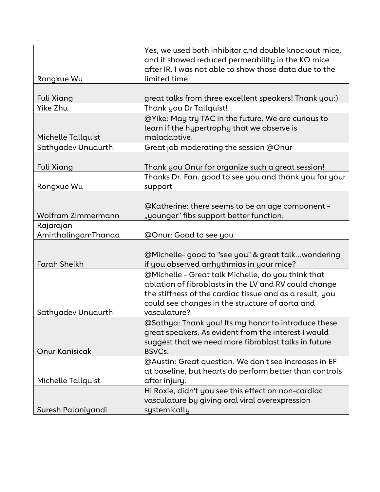|                       | Yes, we used both inhibitor and double knockout mice,<br>and it showed reduced permeability in the KO mice<br>after IR. I was not able to show those data due to the                                                                       |
|-----------------------|--------------------------------------------------------------------------------------------------------------------------------------------------------------------------------------------------------------------------------------------|
| Rongxue Wu            | limited time.                                                                                                                                                                                                                              |
| Fuli Xiang            | great talks from three excellent speakers! Thank you:)                                                                                                                                                                                     |
| Yike Zhu              | Thank you Dr Tallquist!                                                                                                                                                                                                                    |
| Michelle Tallquist    | @Yike: May try TAC in the future. We are curious to<br>learn if the hypertrophy that we observe is<br>maladaptive.                                                                                                                         |
| Sathyadev Unudurthi   | Great job moderating the session @Onur                                                                                                                                                                                                     |
|                       |                                                                                                                                                                                                                                            |
| Fuli Xiang            | Thank you Onur for organize such a great session!                                                                                                                                                                                          |
| Rongxue Wu            | Thanks Dr. Fan. good to see you and thank you for your<br>support                                                                                                                                                                          |
|                       |                                                                                                                                                                                                                                            |
|                       | @Katherine: there seems to be an age component -                                                                                                                                                                                           |
| Wolfram Zimmermann    | "younger" fibs support better function.                                                                                                                                                                                                    |
| Rajarajan             |                                                                                                                                                                                                                                            |
| AmirthalingamThanda   | @Onur: Good to see you                                                                                                                                                                                                                     |
| <b>Farah Sheikh</b>   | @Michelle-good to "see you" & great talkwondering<br>if you observed arrhythmias in your mice?                                                                                                                                             |
| Sathyadev Unudurthi   | @Michelle - Great talk Michelle, do you think that<br>ablation of fibroblasts in the LV and RV could change<br>the stiffness of the cardiac tissue and as a result, you<br>could see changes in the structure of aorta and<br>vasculature? |
| <b>Onur Kanisicak</b> | @Sathya: Thank you! Its my honor to introduce these<br>great speakers. As evident from the interest I would<br>suggest that we need more fibroblast talks in future<br>BSVC <sub>s</sub> .                                                 |
| Michelle Tallquist    | @Austin: Great question. We don't see increases in EF<br>at baseline, but hearts do perform better than controls<br>after injury.                                                                                                          |
| Suresh Palaniyandi    | Hi Roxie, didn't you see this effect on non-cardiac<br>vasculature by giving oral viral overexpression<br>systemically                                                                                                                     |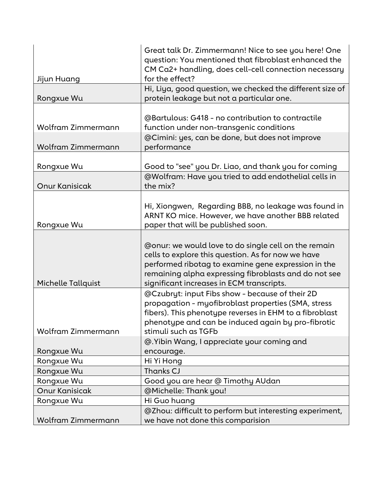|                           | Great talk Dr. Zimmermann! Nice to see you here! One<br>question: You mentioned that fibroblast enhanced the<br>CM Ca2+ handling, does cell-cell connection necessary                                                                                                   |
|---------------------------|-------------------------------------------------------------------------------------------------------------------------------------------------------------------------------------------------------------------------------------------------------------------------|
| Jijun Huang<br>Rongxue Wu | for the effect?<br>Hi, Liya, good question, we checked the different size of<br>protein leakage but not a particular one.                                                                                                                                               |
|                           |                                                                                                                                                                                                                                                                         |
|                           | @Bartulous: G418 - no contribution to contractile                                                                                                                                                                                                                       |
| Wolfram Zimmermann        | function under non-transgenic conditions                                                                                                                                                                                                                                |
|                           | @Cimini: yes, can be done, but does not improve                                                                                                                                                                                                                         |
| Wolfram Zimmermann        | performance                                                                                                                                                                                                                                                             |
|                           |                                                                                                                                                                                                                                                                         |
| Rongxue Wu                | Good to "see" you Dr. Liao, and thank you for coming                                                                                                                                                                                                                    |
|                           | @Wolfram: Have you tried to add endothelial cells in                                                                                                                                                                                                                    |
| <b>Onur Kanisicak</b>     | the mix?                                                                                                                                                                                                                                                                |
|                           |                                                                                                                                                                                                                                                                         |
|                           | Hi, Xiongwen, Regarding BBB, no leakage was found in                                                                                                                                                                                                                    |
|                           | ARNT KO mice. However, we have another BBB related                                                                                                                                                                                                                      |
| Rongxue Wu                | paper that will be published soon.                                                                                                                                                                                                                                      |
| Michelle Tallquist        | @onur: we would love to do single cell on the remain<br>cells to explore this question. As for now we have<br>performed ribotag to examine gene expression in the<br>remaining alpha expressing fibroblasts and do not see<br>significant increases in ECM transcripts. |
|                           | @Czubryt: input Fibs show - because of their 2D<br>propagation - myofibroblast properties (SMA, stress<br>fibers). This phenotype reverses in EHM to a fibroblast<br>phenotype and can be induced again by pro-fibrotic                                                 |
| Wolfram Zimmermann        | stimuli such as TGFb                                                                                                                                                                                                                                                    |
|                           | @. Yibin Wang, I appreciate your coming and                                                                                                                                                                                                                             |
| Rongxue Wu                | encourage.                                                                                                                                                                                                                                                              |
| Rongxue Wu                | Hi Yi Hong                                                                                                                                                                                                                                                              |
| Rongxue Wu                | Thanks CJ                                                                                                                                                                                                                                                               |
| Rongxue Wu                | Good you are hear @ Timothy AUdan                                                                                                                                                                                                                                       |
| <b>Onur Kanisicak</b>     | @Michelle: Thank you!                                                                                                                                                                                                                                                   |
| Rongxue Wu                | Hi Guo huang                                                                                                                                                                                                                                                            |
| Wolfram Zimmermann        | @Zhou: difficult to perform but interesting experiment,<br>we have not done this comparision                                                                                                                                                                            |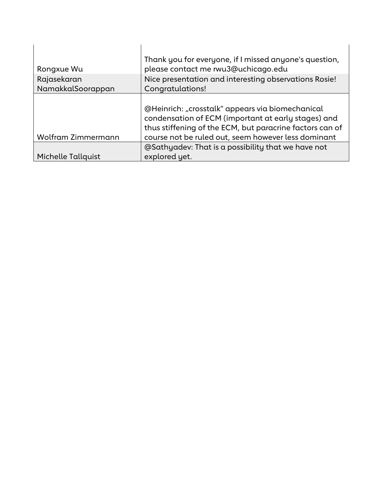| Rongxue Wu         | Thank you for everyone, if I missed anyone's question,<br>please contact me rwu3@uchicago.edu<br>Nice presentation and interesting observations Rosie!                                                                     |
|--------------------|----------------------------------------------------------------------------------------------------------------------------------------------------------------------------------------------------------------------------|
| Rajasekaran        |                                                                                                                                                                                                                            |
| NamakkalSoorappan  | Congratulations!                                                                                                                                                                                                           |
| Wolfram Zimmermann | @Heinrich: "crosstalk" appears via biomechanical<br>condensation of ECM (important at early stages) and<br>thus stiffening of the ECM, but paracrine factors can of<br>course not be ruled out, seem however less dominant |
|                    | @Sathyadev: That is a possibility that we have not                                                                                                                                                                         |
| Michelle Tallquist | explored yet.                                                                                                                                                                                                              |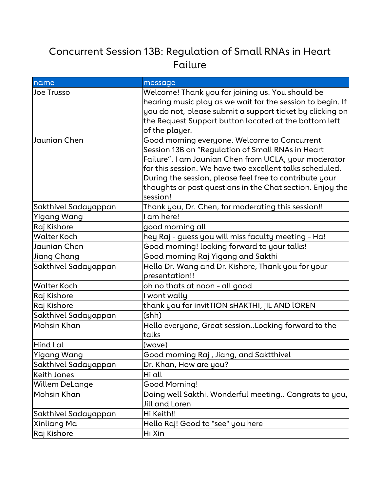# Concurrent Session 13B: Regulation of Small RNAs in Heart Failure

| name                  | message                                                                                                                                                                                                                                                                                                                                                    |
|-----------------------|------------------------------------------------------------------------------------------------------------------------------------------------------------------------------------------------------------------------------------------------------------------------------------------------------------------------------------------------------------|
| <b>Joe Trusso</b>     | Welcome! Thank you for joining us. You should be<br>hearing music play as we wait for the session to begin. If<br>you do not, please submit a support ticket by clicking on<br>the Request Support button located at the bottom left<br>of the player.                                                                                                     |
| Jaunian Chen          | Good morning everyone. Welcome to Concurrent<br>Session 13B on "Regulation of Small RNAs in Heart<br>Failure". I am Jaunian Chen from UCLA, your moderator<br>for this session. We have two excellent talks scheduled.<br>During the session, please feel free to contribute your<br>thoughts or post questions in the Chat section. Enjoy the<br>session! |
| Sakthivel Sadayappan  | Thank you, Dr. Chen, for moderating this session!!                                                                                                                                                                                                                                                                                                         |
| <b>Yigang Wang</b>    | I am here!                                                                                                                                                                                                                                                                                                                                                 |
| Raj Kishore           | good morning all                                                                                                                                                                                                                                                                                                                                           |
| <b>Walter Koch</b>    | hey Raj - guess you will miss faculty meeting - Ha!                                                                                                                                                                                                                                                                                                        |
| Jaunian Chen          | Good morning! looking forward to your talks!                                                                                                                                                                                                                                                                                                               |
| Jiang Chang           | Good morning Raj Yigang and Sakthi                                                                                                                                                                                                                                                                                                                         |
| Sakthivel Sadayappan  | Hello Dr. Wang and Dr. Kishore, Thank you for your<br>presentation!!                                                                                                                                                                                                                                                                                       |
| <b>Walter Koch</b>    | oh no thats at noon - all good                                                                                                                                                                                                                                                                                                                             |
| Raj Kishore           | I wont wally                                                                                                                                                                                                                                                                                                                                               |
| Raj Kishore           | thank you for invitTION sHAKTHI, jIL AND lOREN                                                                                                                                                                                                                                                                                                             |
| Sakthivel Sadayappan  | (shh)                                                                                                                                                                                                                                                                                                                                                      |
| Mohsin Khan           | Hello everyone, Great sessionLooking forward to the<br>talks                                                                                                                                                                                                                                                                                               |
| Hind Lal              | (wave)                                                                                                                                                                                                                                                                                                                                                     |
| <b>Yigang Wang</b>    | Good morning Raj, Jiang, and Saktthivel                                                                                                                                                                                                                                                                                                                    |
| Sakthivel Sadayappan  | Dr. Khan, How are you?                                                                                                                                                                                                                                                                                                                                     |
| Keith Jones           | Hi all                                                                                                                                                                                                                                                                                                                                                     |
| <b>Willem DeLange</b> | Good Morning!                                                                                                                                                                                                                                                                                                                                              |
| Mohsin Khan           | Doing well Sakthi. Wonderful meeting Congrats to you,<br>Jill and Loren                                                                                                                                                                                                                                                                                    |
| Sakthivel Sadayappan  | Hi Keith!!                                                                                                                                                                                                                                                                                                                                                 |
| Xinliang Ma           | Hello Raj! Good to "see" you here                                                                                                                                                                                                                                                                                                                          |
| Raj Kishore           | Hi Xin                                                                                                                                                                                                                                                                                                                                                     |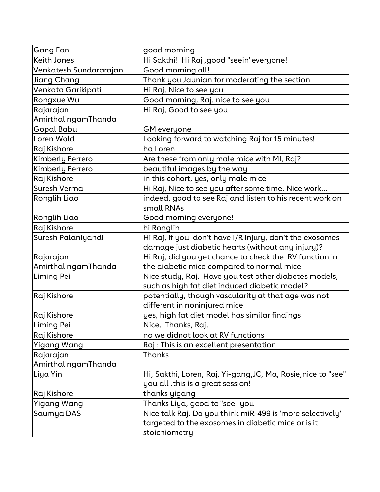| <b>Gang Fan</b>        | good morning                                                |
|------------------------|-------------------------------------------------------------|
| Keith Jones            | Hi Sakthi! Hi Raj , good "seein"everyone!                   |
| Venkatesh Sundararajan | Good morning all!                                           |
| Jiang Chang            | Thank you Jaunian for moderating the section                |
| Venkata Garikipati     | Hi Raj, Nice to see you                                     |
| Rongxue Wu             | Good morning, Raj. nice to see you                          |
| Rajarajan              | Hi Raj, Good to see you                                     |
| AmirthalingamThanda    |                                                             |
| Gopal Babu             | GM everyone                                                 |
| Loren Wold             | Looking forward to watching Raj for 15 minutes!             |
| Raj Kishore            | ha Loren                                                    |
| Kimberly Ferrero       | Are these from only male mice with MI, Raj?                 |
| Kimberly Ferrero       | beautiful images by the way                                 |
| Raj Kishore            | in this cohort, yes, only male mice                         |
| Suresh Verma           | Hi Raj, Nice to see you after some time. Nice work          |
| Ronglih Liao           | indeed, good to see Raj and listen to his recent work on    |
|                        | small RNAs                                                  |
| Ronglih Liao           | Good morning everyone!                                      |
| Raj Kishore            | hi Ronglih                                                  |
| Suresh Palaniyandi     | Hi Raj, if you don't have I/R injury, don't the exosomes    |
|                        | damage just diabetic hearts (without any injury)?           |
| Rajarajan              | Hi Raj, did you get chance to check the RV function in      |
| AmirthalingamThanda    | $ $ the diabetic mice compared to normal mice $ $           |
| Liming Pei             | Nice study, Raj. Have you test other diabetes models,       |
|                        | such as high fat diet induced diabetic model?               |
| Raj Kishore            | potentially, though vascularity at that age was not         |
|                        | different in noninjured mice                                |
| Raj Kishore            | yes, high fat diet model has similar findings               |
| Liming Pei             | Nice. Thanks, Raj.                                          |
| Raj Kishore            | no we didnot look at RV functions                           |
| <b>Yigang Wang</b>     | Raj : This is an excellent presentation                     |
| Rajarajan              | Thanks                                                      |
| AmirthalingamThanda    |                                                             |
| Liya Yin               | Hi, Sakthi, Loren, Raj, Yi-gang,JC, Ma, Rosie,nice to "see" |
|                        | you all this is a great session!                            |
| Raj Kishore            | thanks yigang                                               |
| Yigang Wang            | Thanks Liya, good to "see" you                              |
| Saumya DAS             | Nice talk Raj. Do you think miR-499 is 'more selectively'   |
|                        | $ $ targeted to the exosomes in diabetic mice or is it      |
|                        | stoichiometry                                               |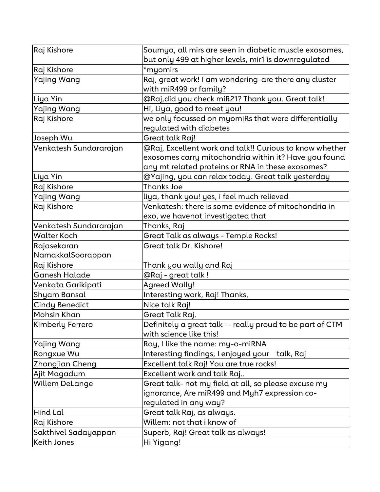| Raj Kishore             | Soumya, all mirs are seen in diabetic muscle exosomes,<br>but only 499 at higher levels, mir1 is downregulated                                                        |
|-------------------------|-----------------------------------------------------------------------------------------------------------------------------------------------------------------------|
| Raj Kishore             | *myomirs                                                                                                                                                              |
| <b>Yajing Wang</b>      | Raj, great work! I am wondering-are there any cluster<br>with miR499 or family?                                                                                       |
| Liya Yin                | @Raj,did you check miR21? Thank you. Great talk!                                                                                                                      |
| <b>Yajing Wang</b>      | Hi, Liya, good to meet you!                                                                                                                                           |
| Raj Kishore             | we only focussed on myomiRs that were differentially<br>regulated with diabetes                                                                                       |
| Joseph Wu               | Great talk Raj!                                                                                                                                                       |
| Venkatesh Sundararajan  | @Raj, Excellent work and talk!! Curious to know whether<br>exosomes carry mitochondria within it? Have you found<br>any mt related proteins or RNA in these exosomes? |
| Liya Yin                | @Yajing, you can relax today. Great talk yesterday                                                                                                                    |
| Raj Kishore             | <b>Thanks Joe</b>                                                                                                                                                     |
| <b>Yajing Wang</b>      | liya, thank you! yes, i feel much relieved                                                                                                                            |
| Raj Kishore             | Venkatesh: there is some evidence of mitochondria in<br>exo, we havenot investigated that                                                                             |
| Venkatesh Sundararajan  | Thanks, Raj                                                                                                                                                           |
| <b>Walter Koch</b>      | Great Talk as always - Temple Rocks!                                                                                                                                  |
| Rajasekaran             | Great talk Dr. Kishore!                                                                                                                                               |
| NamakkalSoorappan       |                                                                                                                                                                       |
| Raj Kishore             | Thank you wally and Raj                                                                                                                                               |
| <b>Ganesh Halade</b>    | @Raj - great talk !                                                                                                                                                   |
| Venkata Garikipati      | <b>Agreed Wally!</b>                                                                                                                                                  |
| Shyam Bansal            | Interesting work, Raj! Thanks,                                                                                                                                        |
| <b>Cindy Benedict</b>   | Nice talk Raj!                                                                                                                                                        |
| Mohsin Khan             | Great Talk Raj.                                                                                                                                                       |
| <b>Kimberly Ferrero</b> | Definitely a great talk -- really proud to be part of CTM<br>with science like this!                                                                                  |
| Yajing Wang             | Ray, I like the name: my-o-miRNA                                                                                                                                      |
| Rongxue Wu              | Interesting findings, I enjoyed your<br>talk, Raj                                                                                                                     |
| Zhongjian Cheng         | Excellent talk Raj! You are true rocks!                                                                                                                               |
| Ajit Magadum            | Excellent work and talk Raj                                                                                                                                           |
| <b>Willem DeLange</b>   | Great talk- not my field at all, so please excuse my<br>ignorance, Are miR499 and Myh7 expression co-<br>regulated in any way?                                        |
| Hind Lal                | Great talk Raj, as always.                                                                                                                                            |
| Raj Kishore             | Willem: not that i know of                                                                                                                                            |
| Sakthivel Sadayappan    | Superb, Raj! Great talk as always!                                                                                                                                    |
| Keith Jones             | Hi Yigang!                                                                                                                                                            |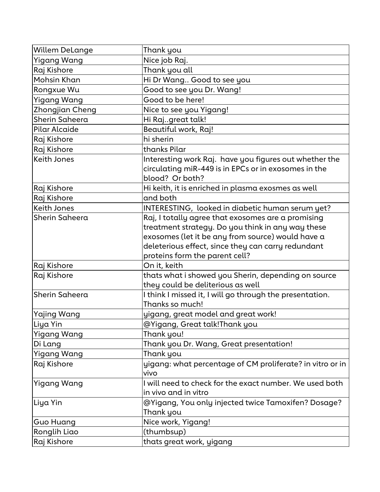| <b>Willem DeLange</b> | Thank you                                                 |
|-----------------------|-----------------------------------------------------------|
| <b>Yigang Wang</b>    | Nice job Raj.                                             |
| Raj Kishore           | Thank you all                                             |
| Mohsin Khan           | Hi Dr Wang Good to see you                                |
| Rongxue Wu            | Good to see you Dr. Wang!                                 |
| <b>Yigang Wang</b>    | Good to be here!                                          |
| Zhongjian Cheng       | Nice to see you Yigang!                                   |
| Sherin Saheera        | Hi Rajgreat talk!                                         |
| Pilar Alcaide         | Beautiful work, Raj!                                      |
| Raj Kishore           | hi sherin                                                 |
| Raj Kishore           | thanks Pilar                                              |
| <b>Keith Jones</b>    | Interesting work Raj. have you figures out whether the    |
|                       | circulating miR-449 is in EPCs or in exosomes in the      |
|                       | blood? Or both?                                           |
| Raj Kishore           | Hi keith, it is enriched in plasma exosmes as well        |
| Raj Kishore           | and both                                                  |
| <b>Keith Jones</b>    | INTERESTING, looked in diabetic human serum yet?          |
| Sherin Saheera        | Raj, I totally agree that exosomes are a promising        |
|                       | treatment strategy. Do you think in any way these         |
|                       | exosomes (let it be any from source) would have a         |
|                       | deleterious effect, since they can carry redundant        |
|                       | proteins form the parent cell?                            |
| Raj Kishore           | On it, keith                                              |
| Raj Kishore           | thats what i showed you Sherin, depending on source       |
|                       | they could be deliterious as well                         |
| Sherin Saheera        | I think I missed it, I will go through the presentation.  |
|                       | Thanks so much!                                           |
| Yajing Wang           | yigang, great model and great work!                       |
| Liya Yin              | @Yigang, Great talk!Thank you                             |
| <b>Yigang Wang</b>    | Thank you!                                                |
| Di Lang               | Thank you Dr. Wang, Great presentation!                   |
| Yigang Wang           | Thank you                                                 |
| Raj Kishore           | yigang: what percentage of CM proliferate? in vitro or in |
|                       | vivo                                                      |
| <b>Yigang Wang</b>    | I will need to check for the exact number. We used both   |
|                       | in vivo and in vitro                                      |
| Liya Yin              | @Yigang, You only injected twice Tamoxifen? Dosage?       |
|                       | Thank you                                                 |
| Guo Huang             | Nice work, Yigang!                                        |
| Ronglih Liao          | (thumbsup)                                                |
| Raj Kishore           | thats great work, yigang                                  |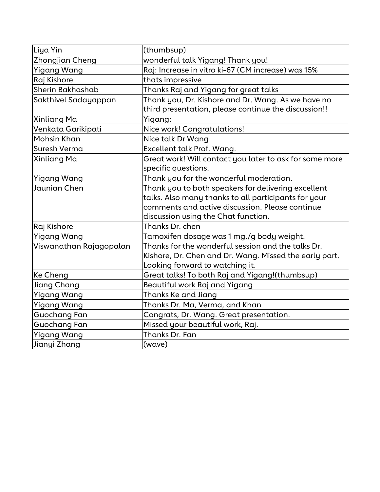| Liya Yin                | (thumbsup)                                              |
|-------------------------|---------------------------------------------------------|
| Zhongjian Cheng         | wonderful talk Yigang! Thank you!                       |
| Yigang Wang             | Raj: Increase in vitro ki-67 (CM increase) was 15%      |
| Raj Kishore             | thats impressive                                        |
| Sherin Bakhashab        | Thanks Raj and Yigang for great talks                   |
| Sakthivel Sadayappan    | Thank you, Dr. Kishore and Dr. Wang. As we have no      |
|                         | third presentation, please continue the discussion!!    |
| Xinliang Ma             | Yigang:                                                 |
| Venkata Garikipati      | Nice work! Congratulations!                             |
| Mohsin Khan             | Nice talk Dr Wang                                       |
| Suresh Verma            | Excellent talk Prof. Wang.                              |
| Xinliang Ma             | Great work! Will contact you later to ask for some more |
|                         | specific questions.                                     |
| Yigang Wang             | Thank you for the wonderful moderation.                 |
| Jaunian Chen            | Thank you to both speakers for delivering excellent     |
|                         | talks. Also many thanks to all participants for your    |
|                         | comments and active discussion. Please continue         |
|                         | discussion using the Chat function.                     |
| Raj Kishore             | Thanks Dr. chen                                         |
| <b>Yigang Wang</b>      | Tamoxifen dosage was 1 mg./g body weight.               |
| Viswanathan Rajagopalan | Thanks for the wonderful session and the talks Dr.      |
|                         | Kishore, Dr. Chen and Dr. Wang. Missed the early part.  |
|                         | Looking forward to watching it.                         |
| Ke Cheng                | Great talks! To both Raj and Yigang!(thumbsup)          |
| Jiang Chang             | Beautiful work Raj and Yigang                           |
| Yigang Wang             | Thanks Ke and Jiang                                     |
| Yigang Wang             | Thanks Dr. Ma, Verma, and Khan                          |
| Guochang Fan            | Congrats, Dr. Wang. Great presentation.                 |
| Guochang Fan            | Missed your beautiful work, Raj.                        |
| Yigang Wang             | Thanks Dr. Fan                                          |
| Jianyi Zhang            | (wave)                                                  |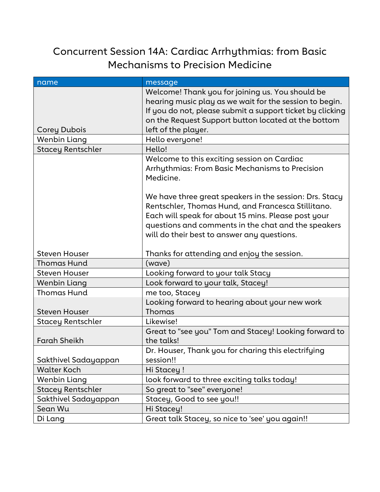### Concurrent Session 14A: Cardiac Arrhythmias: from Basic Mechanisms to Precision Medicine

| name                     | message                                                                                                                                                                                                                                                                                                                                                                                   |
|--------------------------|-------------------------------------------------------------------------------------------------------------------------------------------------------------------------------------------------------------------------------------------------------------------------------------------------------------------------------------------------------------------------------------------|
| Corey Dubois             | Welcome! Thank you for joining us. You should be<br>hearing music play as we wait for the session to begin.<br>If you do not, please submit a support ticket by clicking<br>on the Request Support button located at the bottom<br>left of the player.                                                                                                                                    |
| Wenbin Liang             | Hello everyone!                                                                                                                                                                                                                                                                                                                                                                           |
| <b>Stacey Rentschler</b> | Hello!                                                                                                                                                                                                                                                                                                                                                                                    |
|                          | Welcome to this exciting session on Cardiac<br>Arrhythmias: From Basic Mechanisms to Precision<br>Medicine.<br>We have three great speakers in the session: Drs. Stacy<br>Rentschler, Thomas Hund, and Francesca Stillitano.<br>Each will speak for about 15 mins. Please post your<br>questions and comments in the chat and the speakers<br>will do their best to answer any questions. |
| <b>Steven Houser</b>     | Thanks for attending and enjoy the session.                                                                                                                                                                                                                                                                                                                                               |
| <b>Thomas Hund</b>       | (wave)                                                                                                                                                                                                                                                                                                                                                                                    |
| <b>Steven Houser</b>     | Looking forward to your talk Stacy                                                                                                                                                                                                                                                                                                                                                        |
| <b>Wenbin Liang</b>      | Look forward to your talk, Stacey!                                                                                                                                                                                                                                                                                                                                                        |
| <b>Thomas Hund</b>       | me too, Stacey                                                                                                                                                                                                                                                                                                                                                                            |
| <b>Steven Houser</b>     | Looking forward to hearing about your new work<br>Thomas                                                                                                                                                                                                                                                                                                                                  |
| Stacey Rentschler        | Likewise!                                                                                                                                                                                                                                                                                                                                                                                 |
| <b>Farah Sheikh</b>      | Great to "see you" Tom and Stacey! Looking forward to<br>the talks!                                                                                                                                                                                                                                                                                                                       |
| Sakthivel Sadayappan     | Dr. Houser, Thank you for charing this electrifying<br>session!!                                                                                                                                                                                                                                                                                                                          |
| <b>Walter Koch</b>       | Hi Stacey !                                                                                                                                                                                                                                                                                                                                                                               |
| <b>Wenbin Liang</b>      | look forward to three exciting talks today!                                                                                                                                                                                                                                                                                                                                               |
| <b>Stacey Rentschler</b> | So great to "see" everyone!                                                                                                                                                                                                                                                                                                                                                               |
| Sakthivel Sadayappan     | Stacey, Good to see you!!                                                                                                                                                                                                                                                                                                                                                                 |
| Sean Wu                  | Hi Stacey!                                                                                                                                                                                                                                                                                                                                                                                |
| Di Lang                  | Great talk Stacey, so nice to 'see' you again!!                                                                                                                                                                                                                                                                                                                                           |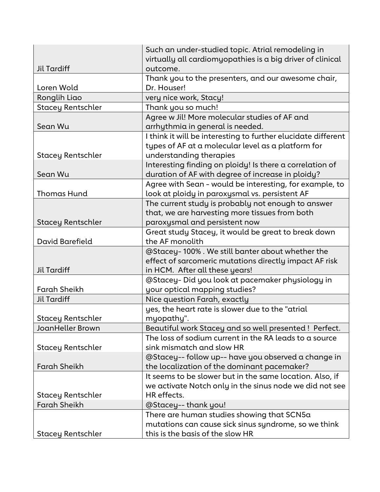|                          | Such an under-studied topic. Atrial remodeling in             |
|--------------------------|---------------------------------------------------------------|
|                          | virtually all cardiomyopathies is a big driver of clinical    |
| <b>Jil Tardiff</b>       | outcome.                                                      |
|                          | Thank you to the presenters, and our awesome chair,           |
| Loren Wold               | Dr. Houser!                                                   |
| Ronglih Liao             | very nice work, Stacy!                                        |
| <b>Stacey Rentschler</b> | Thank you so much!                                            |
|                          | Agree w Jil! More molecular studies of AF and                 |
| Sean Wu                  | arrhythmia in general is needed.                              |
|                          | I think it will be interesting to further elucidate different |
|                          | types of AF at a molecular level as a platform for            |
| Stacey Rentschler        | understanding therapies                                       |
|                          | Interesting finding on ploidy! Is there a correlation of      |
| Sean Wu                  | duration of AF with degree of increase in ploidy?             |
|                          | Agree with Sean - would be interesting, for example, to       |
| <b>Thomas Hund</b>       | look at ploidy in paroxysmal vs. persistent AF                |
|                          | The current study is probably not enough to answer            |
|                          | that, we are harvesting more tissues from both                |
| <b>Stacey Rentschler</b> | paroxysmal and persistent now                                 |
|                          | Great study Stacey, it would be great to break down           |
| David Barefield          | the AF monolith                                               |
|                          | @Stacey-100%. We still banter about whether the               |
|                          | effect of sarcomeric mutations directly impact AF risk        |
| <b>Jil Tardiff</b>       | in HCM. After all these years!                                |
|                          | @Stacey-Did you look at pacemaker physiology in               |
| <b>Farah Sheikh</b>      | your optical mapping studies?                                 |
| <b>Jil Tardiff</b>       | Nice question Farah, exactly                                  |
|                          | yes, the heart rate is slower due to the "atrial              |
| <b>Stacey Rentschler</b> | myopathy".                                                    |
| <b>JoanHeller Brown</b>  | Beautiful work Stacey and so well presented ! Perfect.        |
|                          | The loss of sodium current in the RA leads to a source        |
| Stacey Rentschler        | sink mismatch and slow HR                                     |
|                          | @Stacey-- follow up-- have you observed a change in           |
| <b>Farah Sheikh</b>      | the localization of the dominant pacemaker?                   |
|                          | It seems to be slower but in the same location. Also, if      |
|                          | we activate Notch only in the sinus node we did not see       |
| Stacey Rentschler        | HR effects.                                                   |
| <b>Farah Sheikh</b>      | @Stacey--thank you!                                           |
|                          | There are human studies showing that SCN5a                    |
|                          | mutations can cause sick sinus syndrome, so we think          |
| <b>Stacey Rentschler</b> | this is the basis of the slow HR                              |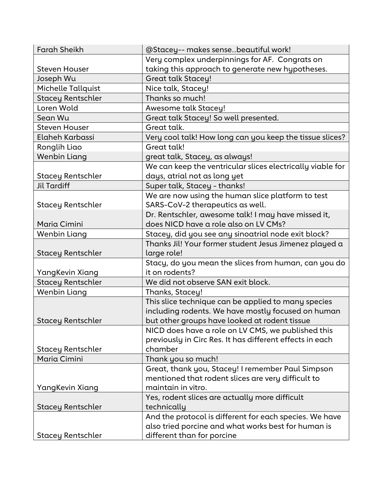| <b>Farah Sheikh</b>      | @Stacey-- makes sensebeautiful work!                       |
|--------------------------|------------------------------------------------------------|
|                          | Very complex underpinnings for AF. Congrats on             |
| <b>Steven Houser</b>     | taking this approach to generate new hypotheses.           |
| Joseph Wu                | <b>Great talk Stacey!</b>                                  |
| Michelle Tallquist       | Nice talk, Stacey!                                         |
| <b>Stacey Rentschler</b> | Thanks so much!                                            |
| Loren Wold               | Awesome talk Stacey!                                       |
| Sean Wu                  | Great talk Stacey! So well presented.                      |
| <b>Steven Houser</b>     | Great talk.                                                |
| Elaheh Karbassi          | Very cool talk! How long can you keep the tissue slices?   |
| Ronglih Liao             | Great talk!                                                |
| <b>Wenbin Liang</b>      | great talk, Stacey, as always!                             |
|                          | We can keep the ventricular slices electrically viable for |
| Stacey Rentschler        | days, atrial not as long yet                               |
| <b>Jil Tardiff</b>       | Super talk, Stacey - thanks!                               |
|                          | We are now using the human slice platform to test          |
| Stacey Rentschler        | SARS-CoV-2 therapeutics as well.                           |
|                          | Dr. Rentschler, awesome talk! I may have missed it,        |
| Maria Cimini             | does NICD have a role also on LV CMs?                      |
| <b>Wenbin Liang</b>      | Stacey, did you see any sinoatrial node exit block?        |
|                          | Thanks Jil! Your former student Jesus Jimenez played a     |
| Stacey Rentschler        | large role!                                                |
|                          | Stacy, do you mean the slices from human, can you do       |
| YangKevin Xiang          | it on rodents?                                             |
| <b>Stacey Rentschler</b> | We did not observe SAN exit block.                         |
| Wenbin Liang             | Thanks, Stacey!                                            |
|                          | This slice technique can be applied to many species        |
|                          | including rodents. We have mostly focused on human         |
| <b>Stacey Rentschler</b> | but other groups have looked at rodent tissue              |
|                          | NICD does have a role on LV CMS, we published this         |
|                          | previously in Circ Res. It has different effects in each   |
| <b>Stacey Rentschler</b> | chamber                                                    |
| Maria Cimini             | Thank you so much!                                         |
|                          | Great, thank you, Stacey! I remember Paul Simpson          |
|                          | mentioned that rodent slices are very difficult to         |
| YangKevin Xiang          | maintain in vitro.                                         |
|                          | Yes, rodent slices are actually more difficult             |
| Stacey Rentschler        | technically                                                |
|                          | And the protocol is different for each species. We have    |
|                          | also tried porcine and what works best for human is        |
| Stacey Rentschler        | different than for porcine                                 |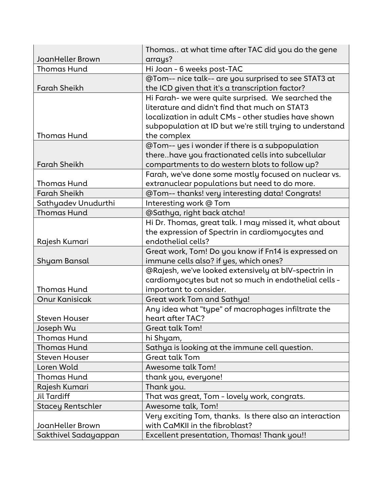| <b>JoanHeller Brown</b>                  | Thomas at what time after TAC did you do the gene<br>arrays?            |
|------------------------------------------|-------------------------------------------------------------------------|
| <b>Thomas Hund</b>                       | Hi Joan - 6 weeks post-TAC                                              |
|                                          | @Tom-- nice talk-- are you surprised to see STAT3 at                    |
| <b>Farah Sheikh</b>                      | the ICD given that it's a transcription factor?                         |
|                                          | Hi Farah- we were quite surprised. We searched the                      |
|                                          | literature and didn't find that much on STAT3                           |
|                                          | localization in adult CMs - other studies have shown                    |
|                                          | subpopulation at ID but we're still trying to understand                |
| <b>Thomas Hund</b>                       | the complex                                                             |
|                                          | @Tom-- yes i wonder if there is a subpopulation                         |
|                                          | therehave you fractionated cells into subcellular                       |
| <b>Farah Sheikh</b>                      | compartments to do western blots to follow up?                          |
|                                          | Farah, we've done some mostly focused on nuclear vs.                    |
| <b>Thomas Hund</b>                       | extranuclear populations but need to do more.                           |
| <b>Farah Sheikh</b>                      | @Tom-- thanks! very interesting data! Congrats!                         |
| Sathyadev Unudurthi                      | Interesting work @ Tom                                                  |
| <b>Thomas Hund</b>                       | @Sathya, right back atcha!                                              |
|                                          | Hi Dr. Thomas, great talk. I may missed it, what about                  |
|                                          | the expression of Spectrin in cardiomyocytes and                        |
| Rajesh Kumari                            | endothelial cells?                                                      |
|                                          | Great work, Tom! Do you know if Fn14 is expressed on                    |
| Shyam Bansal                             | immune cells also? if yes, which ones?                                  |
|                                          | @Rajesh, we've looked extensively at bIV-spectrin in                    |
|                                          | cardiomyocytes but not so much in endothelial cells -                   |
| <b>Thomas Hund</b>                       | important to consider.                                                  |
| <b>Onur Kanisicak</b>                    | Great work Tom and Sathya!                                              |
|                                          | Any idea what "type" of macrophages infiltrate the                      |
| <b>Steven Houser</b>                     | heart after TAC?                                                        |
| Joseph Wu                                | Great talk Tom!                                                         |
| <b>Thomas Hund</b><br><b>Thomas Hund</b> | hi Shyam,                                                               |
| <b>Steven Houser</b>                     | Sathya is looking at the immune cell question.<br><b>Great talk Tom</b> |
| Loren Wold                               | Awesome talk Tom!                                                       |
| <b>Thomas Hund</b>                       | thank you, everyone!                                                    |
| Rajesh Kumari                            | Thank you.                                                              |
| <b>Jil Tardiff</b>                       | That was great, Tom - lovely work, congrats.                            |
| <b>Stacey Rentschler</b>                 | Awesome talk, Tom!                                                      |
|                                          | Very exciting Tom, thanks. Is there also an interaction                 |
| JoanHeller Brown                         | with CaMKII in the fibroblast?                                          |
| Sakthivel Sadayappan                     | Excellent presentation, Thomas! Thank you!!                             |
|                                          |                                                                         |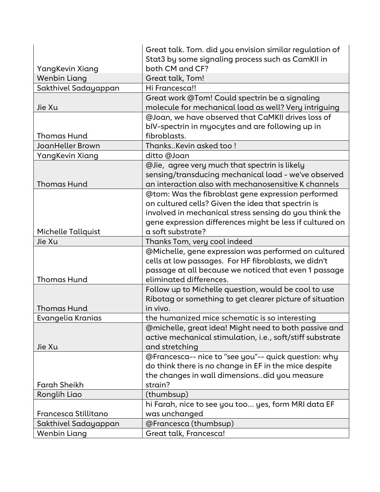|                         | Great talk. Tom. did you envision similar regulation of                                                                                                                                                                        |
|-------------------------|--------------------------------------------------------------------------------------------------------------------------------------------------------------------------------------------------------------------------------|
|                         | Stat3 by some signaling process such as CamKII in                                                                                                                                                                              |
| YangKevin Xiang         | both CM and CF?                                                                                                                                                                                                                |
| <b>Wenbin Liang</b>     | Great talk, Tom!                                                                                                                                                                                                               |
| Sakthivel Sadayappan    | Hi Francesca!!                                                                                                                                                                                                                 |
| Jie Xu                  | Great work @Tom! Could spectrin be a signaling<br>molecule for mechanical load as well? Very intriguing                                                                                                                        |
|                         | @Joan, we have observed that CaMKII drives loss of                                                                                                                                                                             |
|                         | bIV-spectrin in myocytes and are following up in                                                                                                                                                                               |
| <b>Thomas Hund</b>      | fibroblasts.                                                                                                                                                                                                                   |
| <b>JoanHeller Brown</b> | ThanksKevin asked too!                                                                                                                                                                                                         |
| YangKevin Xiang         | ditto @Joan                                                                                                                                                                                                                    |
| <b>Thomas Hund</b>      | @Jie, agree very much that spectrin is likely<br>sensing/transducing mechanical load - we've observed<br>an interaction also with mechanosensitive K channels                                                                  |
|                         | @tom: Was the fibroblast gene expression performed<br>on cultured cells? Given the idea that spectrin is<br>involved in mechanical stress sensing do you think the<br>gene expression differences might be less if cultured on |
| Michelle Tallquist      | a soft substrate?                                                                                                                                                                                                              |
| Jie Xu                  | Thanks Tom, very cool indeed                                                                                                                                                                                                   |
| <b>Thomas Hund</b>      | @Michelle, gene expression was performed on cultured<br>cells at low passages. For HF fibroblasts, we didn't<br>passage at all because we noticed that even 1 passage<br>eliminated differences.                               |
|                         | Follow up to Michelle question, would be cool to use                                                                                                                                                                           |
| <b>Thomas Hund</b>      | Ribotag or something to get clearer picture of situation<br>in vivo.                                                                                                                                                           |
| Evangelia Kranias       | the humanized mice schematic is so interesting                                                                                                                                                                                 |
|                         | @michelle, great idea! Might need to both passive and                                                                                                                                                                          |
|                         | active mechanical stimulation, i.e., soft/stiff substrate                                                                                                                                                                      |
| Jie Xu                  | and stretching                                                                                                                                                                                                                 |
|                         | @Francesca-- nice to "see you"-- quick question: why                                                                                                                                                                           |
|                         | do think there is no change in EF in the mice despite                                                                                                                                                                          |
|                         |                                                                                                                                                                                                                                |
| <b>Farah Sheikh</b>     | the changes in wall dimensionsdid you measure<br>strain?                                                                                                                                                                       |
| Ronglih Liao            | (thumbsup)                                                                                                                                                                                                                     |
|                         | hi Farah, nice to see you too yes, form MRI data EF                                                                                                                                                                            |
| Francesca Stillitano    | was unchanged                                                                                                                                                                                                                  |
| Sakthivel Sadayappan    | @Francesca (thumbsup)                                                                                                                                                                                                          |
| Wenbin Liang            | Great talk, Francesca!                                                                                                                                                                                                         |
|                         |                                                                                                                                                                                                                                |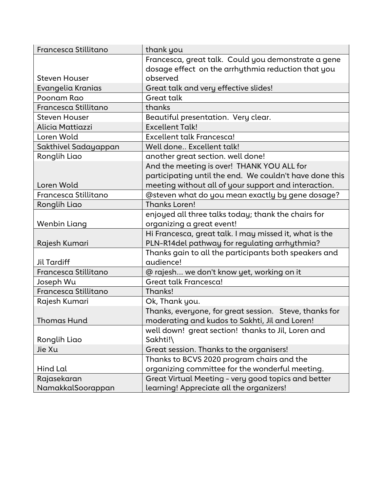| Francesca Stillitano | thank you                                               |
|----------------------|---------------------------------------------------------|
|                      | Francesca, great talk. Could you demonstrate a gene     |
|                      | dosage effect on the arrhythmia reduction that you      |
| <b>Steven Houser</b> | observed                                                |
| Evangelia Kranias    | Great talk and very effective slides!                   |
| Poonam Rao           | <b>Great talk</b>                                       |
| Francesca Stillitano | thanks                                                  |
| <b>Steven Houser</b> | Beautiful presentation. Very clear.                     |
| Alicia Mattiazzi     | <b>Excellent Talk!</b>                                  |
| Loren Wold           | Excellent talk Francesca!                               |
| Sakthivel Sadayappan | Well done Excellent talk!                               |
| Ronglih Liao         | another great section. well done!                       |
|                      | And the meeting is over! THANK YOU ALL for              |
|                      | participating until the end. We couldn't have done this |
| Loren Wold           | meeting without all of your support and interaction.    |
| Francesca Stillitano | @steven what do you mean exactly by gene dosage?        |
| Ronglih Liao         | <b>Thanks Loren!</b>                                    |
|                      | enjoyed all three talks today; thank the chairs for     |
| Wenbin Liang         | organizing a great event!                               |
|                      | Hi Francesca, great talk. I may missed it, what is the  |
| Rajesh Kumari        | PLN-R14del pathway for regulating arrhythmia?           |
|                      | Thanks gain to all the participants both speakers and   |
| <b>Jil Tardiff</b>   | audience!                                               |
| Francesca Stillitano | @ rajesh we don't know yet, working on it               |
| Joseph Wu            | Great talk Francesca!                                   |
| Francesca Stillitano | Thanks!                                                 |
| Rajesh Kumari        | Ok, Thank you.                                          |
|                      | Thanks, everyone, for great session. Steve, thanks for  |
| Thomas Hund          | moderating and kudos to Sakhti, Jil and Loren!          |
|                      | well down! great section! thanks to Jil, Loren and      |
| Ronglih Liao         | Sakhti!\                                                |
| Jie Xu               | Great session. Thanks to the organisers!                |
|                      | Thanks to BCVS 2020 program chairs and the              |
| Hind Lal             | organizing committee for the wonderful meeting.         |
| Rajasekaran          | Great Virtual Meeting - very good topics and better     |
| NamakkalSoorappan    | learning! Appreciate all the organizers!                |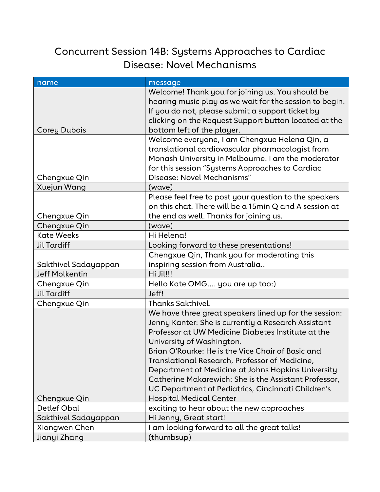# Concurrent Session 14B: Systems Approaches to Cardiac Disease: Novel Mechanisms

| name                  | message                                                                                               |
|-----------------------|-------------------------------------------------------------------------------------------------------|
|                       | Welcome! Thank you for joining us. You should be                                                      |
|                       | hearing music play as we wait for the session to begin.                                               |
|                       | If you do not, please submit a support ticket by                                                      |
|                       | clicking on the Request Support button located at the                                                 |
| <b>Corey Dubois</b>   | bottom left of the player.                                                                            |
|                       | Welcome everyone, I am Chengxue Helena Qin, a<br>translational cardiovascular pharmacologist from     |
|                       |                                                                                                       |
|                       | Monash University in Melbourne. I am the moderator<br>for this session "Systems Approaches to Cardiac |
| Chengxue Qin          | Disease: Novel Mechanisms"                                                                            |
| Xuejun Wang           | (wave)                                                                                                |
|                       | Please feel free to post your question to the speakers                                                |
|                       | on this chat. There will be a 15min Q and A session at                                                |
| Chengxue Qin          | the end as well. Thanks for joining us.                                                               |
| Chengxue Qin          | (wave)                                                                                                |
| <b>Kate Weeks</b>     | Hi Helena!                                                                                            |
| <b>Jil Tardiff</b>    | Looking forward to these presentations!                                                               |
|                       | Chengxue Qin, Thank you for moderating this                                                           |
| Sakthivel Sadayappan  | inspiring session from Australia                                                                      |
| <b>Jeff Molkentin</b> | Hi Jil!!!                                                                                             |
| Chengxue Qin          | Hello Kate OMG you are up too:)                                                                       |
| <b>Jil Tardiff</b>    | Jeff!                                                                                                 |
| Chengxue Qin          | <b>Thanks Sakthivel.</b>                                                                              |
|                       | We have three great speakers lined up for the session:                                                |
|                       | Jenny Kanter: She is currently a Research Assistant                                                   |
|                       | Professor at UW Medicine Diabetes Institute at the                                                    |
|                       | University of Washington.                                                                             |
|                       | Brian O'Rourke: He is the Vice Chair of Basic and                                                     |
|                       | Translational Research, Professor of Medicine,                                                        |
|                       | Department of Medicine at Johns Hopkins University                                                    |
|                       | Catherine Makarewich: She is the Assistant Professor,                                                 |
|                       | UC Department of Pediatrics, Cincinnati Children's                                                    |
| Chengxue Qin          | <b>Hospital Medical Center</b>                                                                        |
| Detlef Obal           | exciting to hear about the new approaches                                                             |
| Sakthivel Sadayappan  | Hi Jenny, Great start!                                                                                |
| Xiongwen Chen         | I am looking forward to all the great talks!                                                          |
| Jianyi Zhang          | (thumbsup)                                                                                            |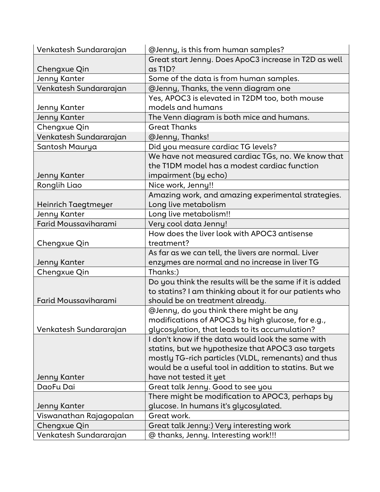| Venkatesh Sundararajan      | @Jenny, is this from human samples?                      |
|-----------------------------|----------------------------------------------------------|
|                             | Great start Jenny. Does ApoC3 increase in T2D as well    |
| Chengxue Qin                | as T1D?                                                  |
| Jenny Kanter                | Some of the data is from human samples.                  |
| Venkatesh Sundararajan      | @Jenny, Thanks, the venn diagram one                     |
|                             | Yes, APOC3 is elevated in T2DM too, both mouse           |
| Jenny Kanter                | models and humans                                        |
| <b>Jenny Kanter</b>         | The Venn diagram is both mice and humans.                |
| Chengxue Qin                | <b>Great Thanks</b>                                      |
| Venkatesh Sundararajan      | @Jenny, Thanks!                                          |
| Santosh Maurya              | Did you measure cardiac TG levels?                       |
|                             | We have not measured cardiac TGs, no. We know that       |
|                             | the T1DM model has a modest cardiac function             |
| Jenny Kanter                | impairment (by echo)                                     |
| Ronglih Liao                | Nice work, Jenny!!                                       |
|                             | Amazing work, and amazing experimental strategies.       |
| Heinrich Taegtmeyer         | Long live metabolism                                     |
| Jenny Kanter                | Long live metabolism!!                                   |
| <b>Farid Moussaviharami</b> | Very cool data Jenny!                                    |
|                             | How does the liver look with APOC3 antisense             |
| Chengxue Qin                | treatment?                                               |
|                             | As far as we can tell, the livers are normal. Liver      |
| Jenny Kanter                | enzymes are normal and no increase in liver TG           |
| Chengxue Qin                | Thanks:)                                                 |
|                             | Do you think the results will be the same if it is added |
|                             | to statins? I am thinking about it for our patients who  |
| <b>Farid Moussaviharami</b> | should be on treatment already.                          |
|                             | @Jenny, do you think there might be any                  |
|                             | modifications of APOC3 by high glucose, for e.g.,        |
| Venkatesh Sundararajan      | glycosylation, that leads to its accumulation?           |
|                             | I don't know if the data would look the same with        |
|                             | statins, but we hypothesize that APOC3 aso targets       |
|                             | mostly TG-rich particles (VLDL, remenants) and thus      |
|                             | would be a useful tool in addition to statins. But we    |
| Jenny Kanter                | have not tested it yet                                   |
| DaoFu Dai                   | Great talk Jenny. Good to see you                        |
|                             | There might be modification to APOC3, perhaps by         |
| Jenny Kanter                | glucose. In humans it's glycosylated.                    |
| Viswanathan Rajagopalan     | Great work.                                              |
| Chengxue Qin                | Great talk Jenny:) Very interesting work                 |
| Venkatesh Sundararajan      | @ thanks, Jenny. Interesting work!!!                     |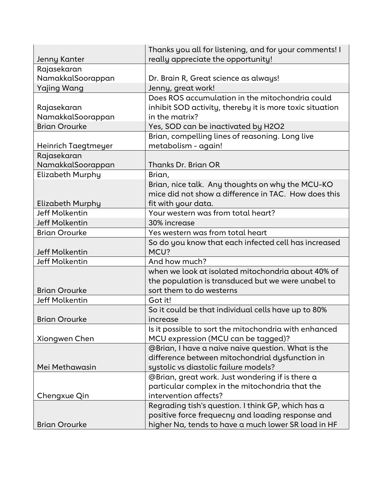|                         | Thanks you all for listening, and for your comments! I   |
|-------------------------|----------------------------------------------------------|
| Jenny Kanter            | really appreciate the opportunity!                       |
| Rajasekaran             |                                                          |
| NamakkalSoorappan       | Dr. Brain R, Great science as always!                    |
| <b>Yajing Wang</b>      | Jenny, great work!                                       |
|                         | Does ROS accumulation in the mitochondria could          |
| Rajasekaran             | inhibit SOD activity, thereby it is more toxic situation |
| NamakkalSoorappan       | in the matrix?                                           |
| <b>Brian Orourke</b>    | Yes, SOD can be inactivated by H2O2                      |
|                         | Brian, compelling lines of reasoning. Long live          |
| Heinrich Taegtmeyer     | metabolism - again!                                      |
| Rajasekaran             |                                                          |
| NamakkalSoorappan       | Thanks Dr. Brian OR                                      |
| <b>Elizabeth Murphy</b> | Brian,                                                   |
|                         | Brian, nice talk. Any thoughts on why the MCU-KO         |
|                         | mice did not show a difference in TAC. How does this     |
| Elizabeth Murphy        | fit with your data.                                      |
| <b>Jeff Molkentin</b>   | Your western was from total heart?                       |
| <b>Jeff Molkentin</b>   | 30% increase                                             |
| <b>Brian Orourke</b>    | Yes western was from total heart                         |
|                         | So do you know that each infected cell has increased     |
| <b>Jeff Molkentin</b>   | MCU?                                                     |
| <b>Jeff Molkentin</b>   | And how much?                                            |
|                         | when we look at isolated mitochondria about 40% of       |
|                         | the population is transduced but we were unabel to       |
| <b>Brian Orourke</b>    | sort them to do westerns                                 |
| <b>Jeff Molkentin</b>   | Got it!                                                  |
|                         | So it could be that individual cells have up to 80%      |
| <b>Brian Orourke</b>    | increase                                                 |
|                         | Is it possible to sort the mitochondria with enhanced    |
| Xiongwen Chen           | MCU expression (MCU can be tagged)?                      |
|                         | @Brian, I have a naive naive question. What is the       |
|                         | difference between mitochondrial dysfunction in          |
| Mei Methawasin          | systolic vs diastolic failure models?                    |
|                         | @Brian, great work. Just wondering if is there a         |
|                         | particular complex in the mitochondria that the          |
| Chengxue Qin            | intervention affects?                                    |
|                         | Regrading tish's question. I think GP, which has a       |
|                         | positive force frequecny and loading response and        |
| <b>Brian Orourke</b>    | higher Na, tends to have a much lower SR load in HF      |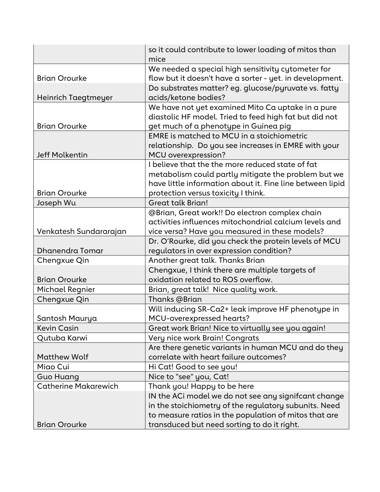|                             | so it could contribute to lower loading of mitos than<br>mice |
|-----------------------------|---------------------------------------------------------------|
|                             | We needed a special high sensitivity cytometer for            |
| <b>Brian Orourke</b>        | flow but it doesn't have a sorter - yet. in development.      |
|                             | Do substrates matter? eg. glucose/pyruvate vs. fatty          |
| Heinrich Taegtmeyer         | acids/ketone bodies?                                          |
|                             | We have not yet examined Mito Ca uptake in a pure             |
|                             | diastolic HF model. Tried to feed high fat but did not        |
| <b>Brian Orourke</b>        | get much of a phenotype in Guinea pig                         |
|                             | EMRE is matched to MCU in a stoichiometric                    |
|                             | relationship. Do you see increases in EMRE with your          |
| <b>Jeff Molkentin</b>       | <b>MCU</b> overexpression?                                    |
|                             | I believe that the the more reduced state of fat              |
|                             | metabolism could partly mitigate the problem but we           |
|                             | have little information about it. Fine line between lipid     |
| <b>Brian Orourke</b>        | protection versus toxicity I think.                           |
| Joseph Wu                   | <b>Great talk Brian!</b>                                      |
|                             | @Brian, Great work!! Do electron complex chain                |
|                             | activities influences mitochondrial calcium levels and        |
| Venkatesh Sundararajan      | vice versa? Have you measured in these models?                |
|                             | Dr. O'Rourke, did you check the protein levels of MCU         |
| Dhanendra Tomar             | regulators in over expression condition?                      |
| Chengxue Qin                | Another great talk. Thanks Brian                              |
|                             | Chengxue, I think there are multiple targets of               |
| <b>Brian Orourke</b>        | oxidation related to ROS overflow.                            |
| Michael Regnier             | Brian, great talk! Nice quality work.                         |
| Chengxue Qin                | Thanks @Brian                                                 |
|                             | Will inducing SR-Ca2+ leak improve HF phenotype in            |
| Santosh Maurya              | MCU-overexpressed hearts?                                     |
| <b>Kevin Casin</b>          | Great work Brian! Nice to virtually see you again!            |
| Qutuba Karwi                | Very nice work Brain! Congrats                                |
|                             | Are there genetic variants in human MCU and do they           |
| <b>Matthew Wolf</b>         | correlate with heart failure outcomes?                        |
| Miao Cui                    | Hi Cat! Good to see you!                                      |
| Guo Huang                   | Nice to "see" you, Cat!                                       |
| <b>Catherine Makarewich</b> | Thank you! Happy to be here                                   |
|                             | IN the ACI model we do not see any signifcant change          |
|                             | in the stoichiometry of the regulatory subunits. Need         |
|                             | to measure ratios in the population of mitos that are         |
| <b>Brian Orourke</b>        | transduced but need sorting to do it right.                   |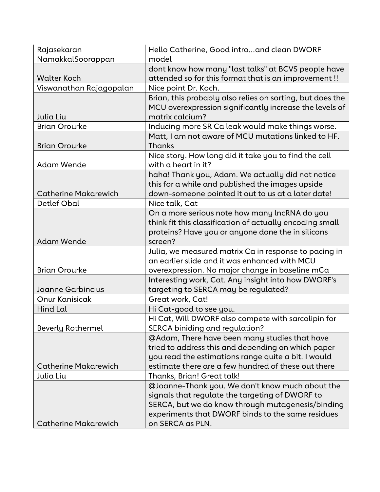| Rajasekaran                 | Hello Catherine, Good intro and clean DWORF               |
|-----------------------------|-----------------------------------------------------------|
| NamakkalSoorappan           | model                                                     |
|                             | dont know how many "last talks" at BCVS people have       |
| <b>Walter Koch</b>          | attended so for this format that is an improvement !!     |
| Viswanathan Rajagopalan     | Nice point Dr. Koch.                                      |
|                             | Brian, this probably also relies on sorting, but does the |
|                             | MCU overexpression significantly increase the levels of   |
| Julia Liu                   | matrix calcium?                                           |
| <b>Brian Orourke</b>        | Inducing more SR Ca leak would make things worse.         |
|                             | Matt, I am not aware of MCU mutations linked to HF.       |
| <b>Brian Orourke</b>        | Thanks                                                    |
|                             | Nice story. How long did it take you to find the cell     |
| <b>Adam Wende</b>           | with a heart in it?                                       |
|                             | haha! Thank you, Adam. We actually did not notice         |
|                             | this for a while and published the images upside          |
| <b>Catherine Makarewich</b> | down-someone pointed it out to us at a later date!        |
| <b>Detlef Obal</b>          | Nice talk, Cat                                            |
|                             | On a more serious note how many lncRNA do you             |
|                             | think fit this classification of actually encoding small  |
|                             | proteins? Have you or anyone done the in silicons         |
| <b>Adam Wende</b>           | screen?                                                   |
|                             | Julia, we measured matrix Ca in response to pacing in     |
|                             | an earlier slide and it was enhanced with MCU             |
| <b>Brian Orourke</b>        | overexpression. No major change in baseline mCa           |
|                             | Interesting work, Cat. Any insight into how DWORF's       |
| Joanne Garbincius           | targeting to SERCA may be regulated?                      |
| <b>Onur Kanisicak</b>       | Great work, Cat!                                          |
| Hind Lal                    | Hi Cat-good to see you.                                   |
|                             | Hi Cat, Will DWORF also compete with sarcolipin for       |
| <b>Beverly Rothermel</b>    | SERCA biniding and regulation?                            |
|                             | @Adam, There have been many studies that have             |
|                             | tried to address this and depending on which paper        |
|                             | you read the estimations range quite a bit. I would       |
| <b>Catherine Makarewich</b> | estimate there are a few hundred of these out there       |
| Julia Liu                   | Thanks, Brian! Great talk!                                |
|                             | @Joanne-Thank you. We don't know much about the           |
|                             | signals that regulate the targeting of DWORF to           |
|                             | SERCA, but we do know through mutagenesis/binding         |
|                             | experiments that DWORF binds to the same residues         |
| <b>Catherine Makarewich</b> | on SERCA as PLN.                                          |
|                             |                                                           |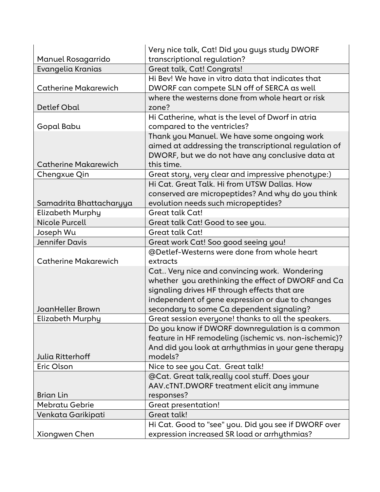|                             | Very nice talk, Cat! Did you guys study DWORF             |
|-----------------------------|-----------------------------------------------------------|
| Manuel Rosagarrido          | transcriptional regulation?                               |
| Evangelia Kranias           | Great talk, Cat! Congrats!                                |
|                             | Hi Bev! We have in vitro data that indicates that         |
| <b>Catherine Makarewich</b> | DWORF can compete SLN off of SERCA as well                |
| <b>Detlef Obal</b>          | where the westerns done from whole heart or risk<br>zone? |
|                             | Hi Catherine, what is the level of Dworf in atria         |
| Gopal Babu                  | compared to the ventricles?                               |
|                             | Thank you Manuel. We have some ongoing work               |
|                             | aimed at addressing the transcriptional regulation of     |
|                             | DWORF, but we do not have any conclusive data at          |
| <b>Catherine Makarewich</b> | this time.                                                |
| Chengxue Qin                | Great story, very clear and impressive phenotype:)        |
|                             | Hi Cat. Great Talk. Hi from UTSW Dallas. How              |
|                             | conserved are micropeptides? And why do you think         |
| Samadrita Bhattacharyya     | evolution needs such micropeptides?                       |
| Elizabeth Murphy            | <b>Great talk Cat!</b>                                    |
| Nicole Purcell              | Great talk Cat! Good to see you.                          |
| Joseph Wu                   | <b>Great talk Cat!</b>                                    |
| <b>Jennifer Davis</b>       | Great work Cat! Soo good seeing you!                      |
|                             | @Detlef-Westerns were done from whole heart               |
| <b>Catherine Makarewich</b> | extracts                                                  |
|                             | Cat Very nice and convincing work. Wondering              |
|                             | whether you arethinking the effect of DWORF and Ca        |
|                             | signaling drives HF through effects that are              |
|                             | independent of gene expression or due to changes          |
| JoanHeller Brown            | secondary to some Ca dependent signaling?                 |
| <b>Elizabeth Murphy</b>     | Great session everyone! thanks to all the speakers.       |
|                             | Do you know if DWORF downregulation is a common           |
|                             | feature in HF remodeling (ischemic vs. non-ischemic)?     |
|                             | And did you look at arrhythmias in your gene therapy      |
| <b>Julia Ritterhoff</b>     | models?                                                   |
| Eric Olson                  | Nice to see you Cat. Great talk!                          |
|                             | @Cat. Great talk, really cool stuff. Does your            |
|                             | AAV.cTNT.DWORF treatment elicit any immune                |
| <b>Brian Lin</b>            | responses?                                                |
| <b>Mebratu Gebrie</b>       | <b>Great presentation!</b>                                |
| Venkata Garikipati          | Great talk!                                               |
|                             | Hi Cat. Good to "see" you. Did you see if DWORF over      |
| Xiongwen Chen               | expression increased SR load or arrhythmias?              |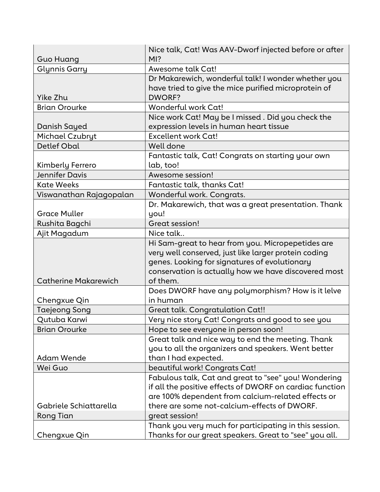| <b>Guo Huang</b>            | Nice talk, Cat! Was AAV-Dworf injected before or after<br>$MI$ ?                                                                                                                                                               |
|-----------------------------|--------------------------------------------------------------------------------------------------------------------------------------------------------------------------------------------------------------------------------|
| <b>Glynnis Garry</b>        | Awesome talk Cat!                                                                                                                                                                                                              |
| Yike Zhu                    | Dr Makarewich, wonderful talk! I wonder whether you<br>have tried to give the mice purified microprotein of<br><b>DWORF?</b>                                                                                                   |
| <b>Brian Orourke</b>        | Wonderful work Cat!                                                                                                                                                                                                            |
| Danish Sayed                | Nice work Cat! May be I missed. Did you check the<br>expression levels in human heart tissue                                                                                                                                   |
| Michael Czubryt             | <b>Excellent work Cat!</b>                                                                                                                                                                                                     |
| <b>Detlef Obal</b>          | Well done                                                                                                                                                                                                                      |
| Kimberly Ferrero            | Fantastic talk, Cat! Congrats on starting your own<br>lab, too!                                                                                                                                                                |
| <b>Jennifer Davis</b>       | Awesome session!                                                                                                                                                                                                               |
| <b>Kate Weeks</b>           | Fantastic talk, thanks Cat!                                                                                                                                                                                                    |
| Viswanathan Rajagopalan     | Wonderful work. Congrats.                                                                                                                                                                                                      |
|                             | Dr. Makarewich, that was a great presentation. Thank                                                                                                                                                                           |
| <b>Grace Muller</b>         | you!                                                                                                                                                                                                                           |
| Rushita Bagchi              | Great session!                                                                                                                                                                                                                 |
| Ajit Magadum                | Nice talk                                                                                                                                                                                                                      |
| <b>Catherine Makarewich</b> | Hi Sam-great to hear from you. Micropepetides are<br>very well conserved, just like larger protein coding<br>genes. Looking for signatures of evolutionary<br>conservation is actually how we have discovered most<br>of them. |
| Chengxue Qin                | Does DWORF have any polymorphism? How is it lelve<br>in human                                                                                                                                                                  |
| <b>Taejeong Song</b>        | Great talk. Congratulation Cat!!                                                                                                                                                                                               |
| Qutuba Karwi                | Very nice story Cat! Congrats and good to see you                                                                                                                                                                              |
| <b>Brian Orourke</b>        | Hope to see everyone in person soon!                                                                                                                                                                                           |
| <b>Adam Wende</b>           | Great talk and nice way to end the meeting. Thank<br>you to all the organizers and speakers. Went better<br>than I had expected.                                                                                               |
| Wei Guo                     | beautiful work! Congrats Cat!                                                                                                                                                                                                  |
|                             | Fabulous talk, Cat and great to "see" you! Wondering<br>if all the positive effects of DWORF on cardiac function<br>are 100% dependent from calcium-related effects or                                                         |
| Gabriele Schiattarella      | there are some not-calcium-effects of DWORF.                                                                                                                                                                                   |
| <b>Rong Tian</b>            | great session!                                                                                                                                                                                                                 |
| Chengxue Qin                | Thank you very much for participating in this session.<br>Thanks for our great speakers. Great to "see" you all.                                                                                                               |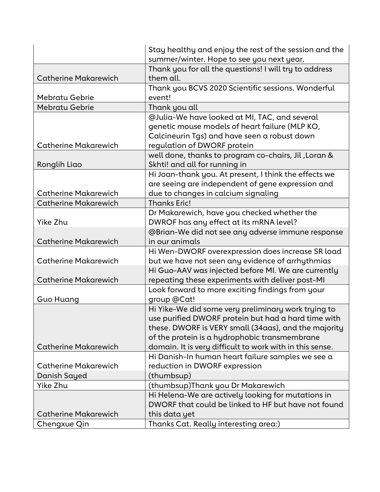|                             | Stay healthy and enjoy the rest of the session and the   |
|-----------------------------|----------------------------------------------------------|
|                             | summer/winter. Hope to see you next year.                |
|                             | Thank you for all the questions! I will try to address   |
| <b>Catherine Makarewich</b> | them all.                                                |
|                             | Thank you BCVS 2020 Scientific sessions. Wonderful       |
| <b>Mebratu Gebrie</b>       | event!                                                   |
| <b>Mebratu Gebrie</b>       | Thank you all                                            |
|                             | @Julia-We have looked at MI, TAC, and several            |
|                             | genetic mouse models of heart failure (MLP KO,           |
|                             | Calcineurin Tgs) and have seen a robust down             |
| <b>Catherine Makarewich</b> | regulation of DWORF protein                              |
|                             | well done, thanks to program co-chairs, Jil, Loran &     |
| Ronglih Liao                | Skhti! and all for running in                            |
|                             | Hi Joan-thank you. At present, I think the effects we    |
|                             | are seeing are independent of gene expression and        |
| <b>Catherine Makarewich</b> | due to changes in calcium signaling                      |
| <b>Catherine Makarewich</b> | <b>Thanks Eric!</b>                                      |
|                             | Dr Makarewich, have you checked whether the              |
| Yike Zhu                    | DWROF has any effect at its mRNA level?                  |
|                             | @Brian-We did not see any adverse immune response        |
| <b>Catherine Makarewich</b> | in our animals                                           |
|                             | Hi Wen-DWORF overexpression does increase SR load        |
| <b>Catherine Makarewich</b> | but we have not seen any evidence of arrhythmias         |
|                             | Hi Guo-AAV was injected before MI. We are currently      |
| <b>Catherine Makarewich</b> | repeating these experiments with deliver post-MI         |
|                             | Look forward to more exciting findings from your         |
| Guo Huang                   | group @Cat!                                              |
|                             | Hi Yike-We did some very preliminary work trying to      |
|                             | use purified DWORF protein but had a hard time with      |
|                             | these. DWORF is VERY small (34aas), and the majority     |
|                             | of the protein is a hydrophobic transmembrane            |
| <b>Catherine Makarewich</b> | domain. It is very difficult to work with in this sense. |
|                             | Hi Danish-In human heart failure samples we see a        |
| <b>Catherine Makarewich</b> | reduction in DWORF expression                            |
| Danish Sayed                | (thumbsup)                                               |
| Yike Zhu                    | (thumbsup) Thank you Dr Makarewich                       |
|                             | Hi Helena-We are actively looking for mutations in       |
|                             | DWORF that could be linked to HF but have not found      |
| <b>Catherine Makarewich</b> | this data yet                                            |
| Chengxue Qin                | Thanks Cat. Really interesting area:)                    |